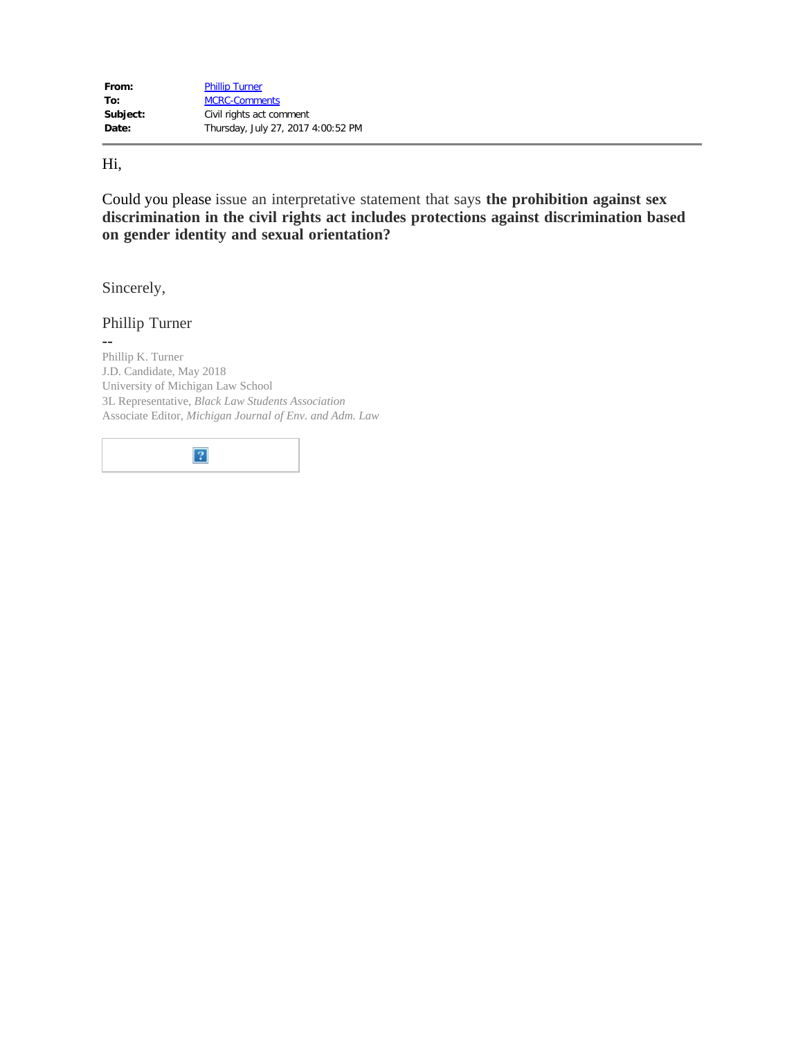Hi,

Could you please issue an interpretative statement that says **the prohibition against sex discrimination in the civil rights act includes protections against discrimination based on gender identity and sexual orientation?** 

Sincerely,

Phillip Turner

-- Phillip K. Turner J.D. Candidate, May 2018 University of Michigan Law School 3L Representative, *Black Law Students Association*  Associate Editor, *Michigan Journal of Env. and Adm. Law* 

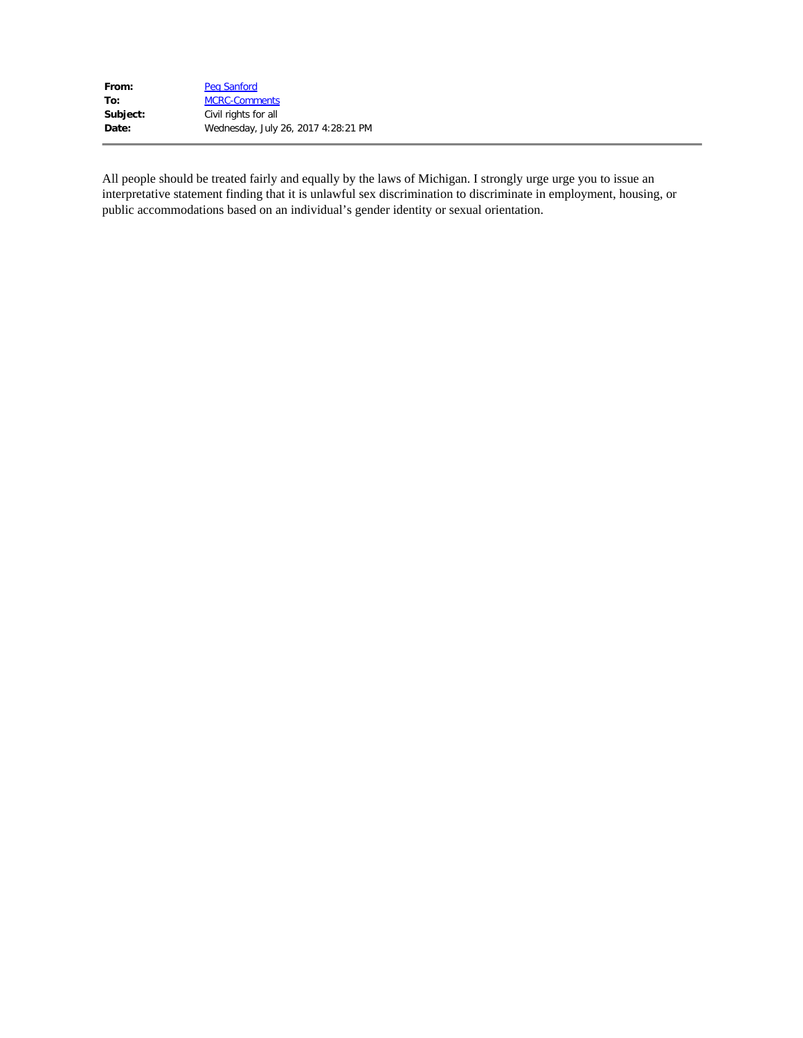| From:    | Peg Sanford                         |
|----------|-------------------------------------|
| To:      | <b>MCRC-Comments</b>                |
| Subject: | Civil rights for all                |
| Date:    | Wednesday, July 26, 2017 4:28:21 PM |

All people should be treated fairly and equally by the laws of Michigan. I strongly urge urge you to issue an interpretative statement finding that it is unlawful sex discrimination to discriminate in employment, housing, or public accommodations based on an individual's gender identity or sexual orientation.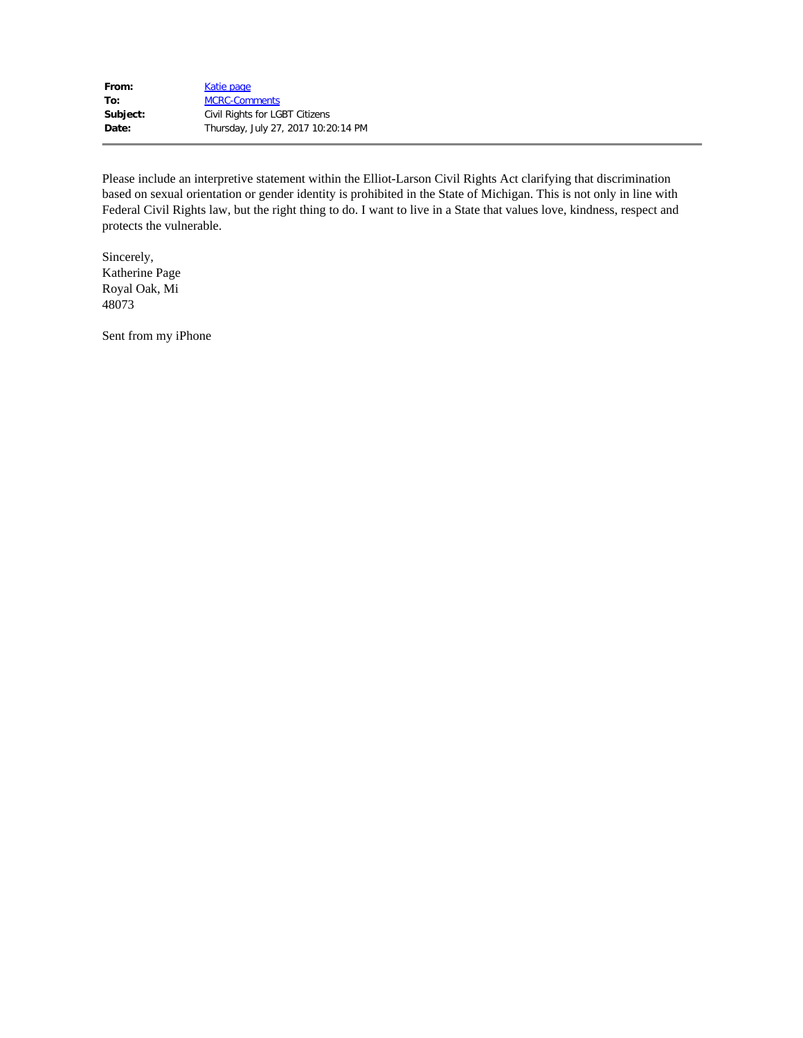| From:    | Katie page                          |
|----------|-------------------------------------|
| To:      | <b>MCRC-Comments</b>                |
| Subject: | Civil Rights for LGBT Citizens      |
| Date:    | Thursday, July 27, 2017 10:20:14 PM |

Please include an interpretive statement within the Elliot-Larson Civil Rights Act clarifying that discrimination based on sexual orientation or gender identity is prohibited in the State of Michigan. This is not only in line with Federal Civil Rights law, but the right thing to do. I want to live in a State that values love, kindness, respect and protects the vulnerable.

Sincerely, Katherine Page Royal Oak, Mi 48073

Sent from my iPhone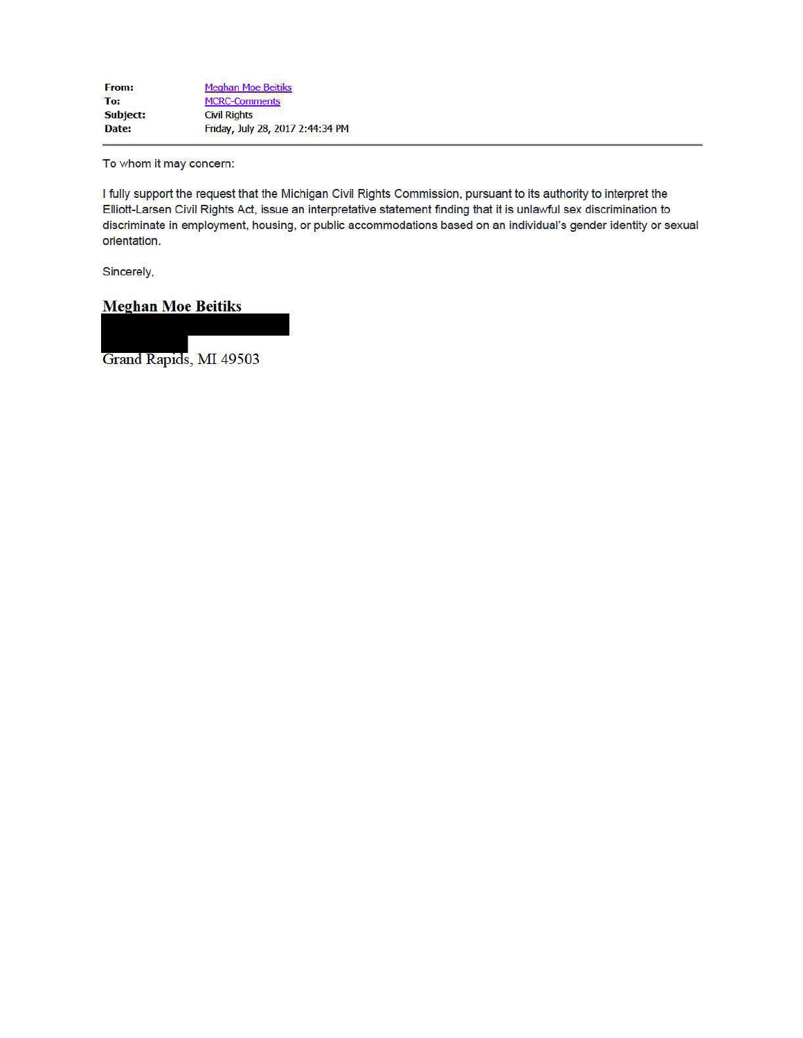To whom it may concern:

I fully support the request that the Michigan Civil Rights Commission, pursuant to its authority to interpret the Elliott-Larsen Civil Rights Act, issue an interpretative statement finding that it is unlawful sex discrimination to discriminate in employment, housing, or public accommodations based on an individual's gender identity or sexual orientation.

Sincerely,

**Meghan Moe Beitiks** 

Grand Rapids, MI 49503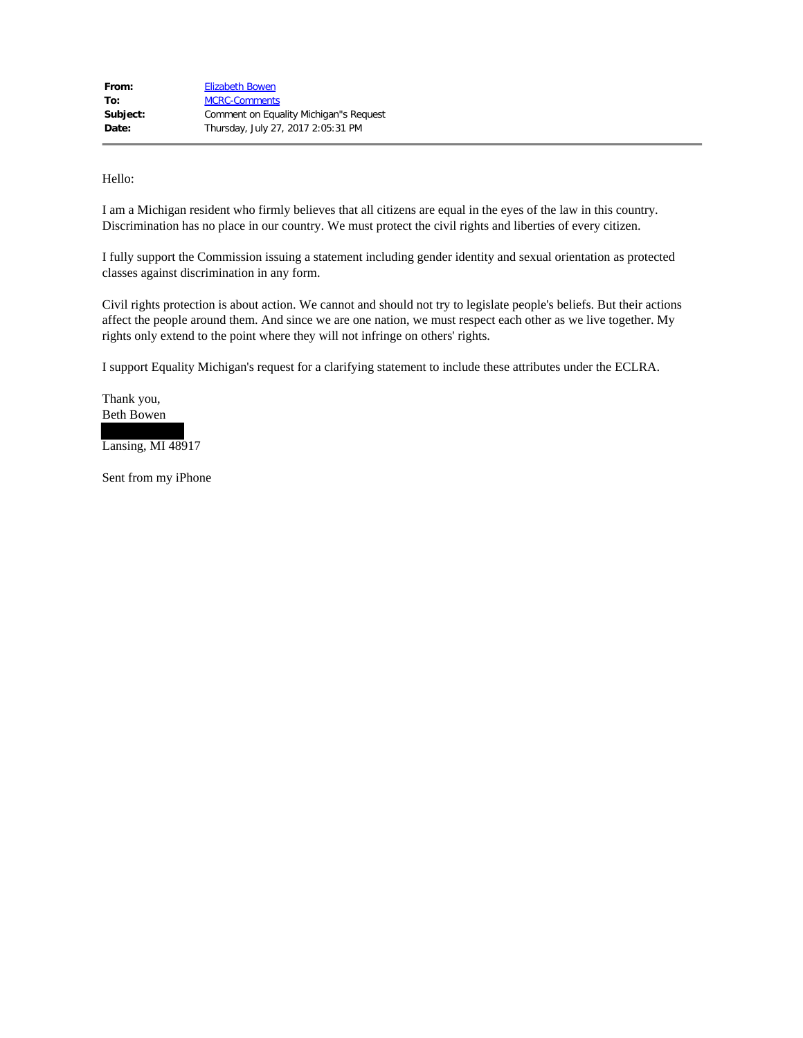Hello:

 I am a Michigan resident who firmly believes that all citizens are equal in the eyes of the law in this country. Discrimination has no place in our country. We must protect the civil rights and liberties of every citizen.

 I fully support the Commission issuing a statement including gender identity and sexual orientation as protected classes against discrimination in any form.

 Civil rights protection is about action. We cannot and should not try to legislate people's beliefs. But their actions affect the people around them. And since we are one nation, we must respect each other as we live together. My rights only extend to the point where they will not infringe on others' rights.

I support Equality Michigan's request for a clarifying statement to include these attributes under the ECLRA.

 Thank you, Beth Bowen

Lansing, MI 48917

Sent from my iPhone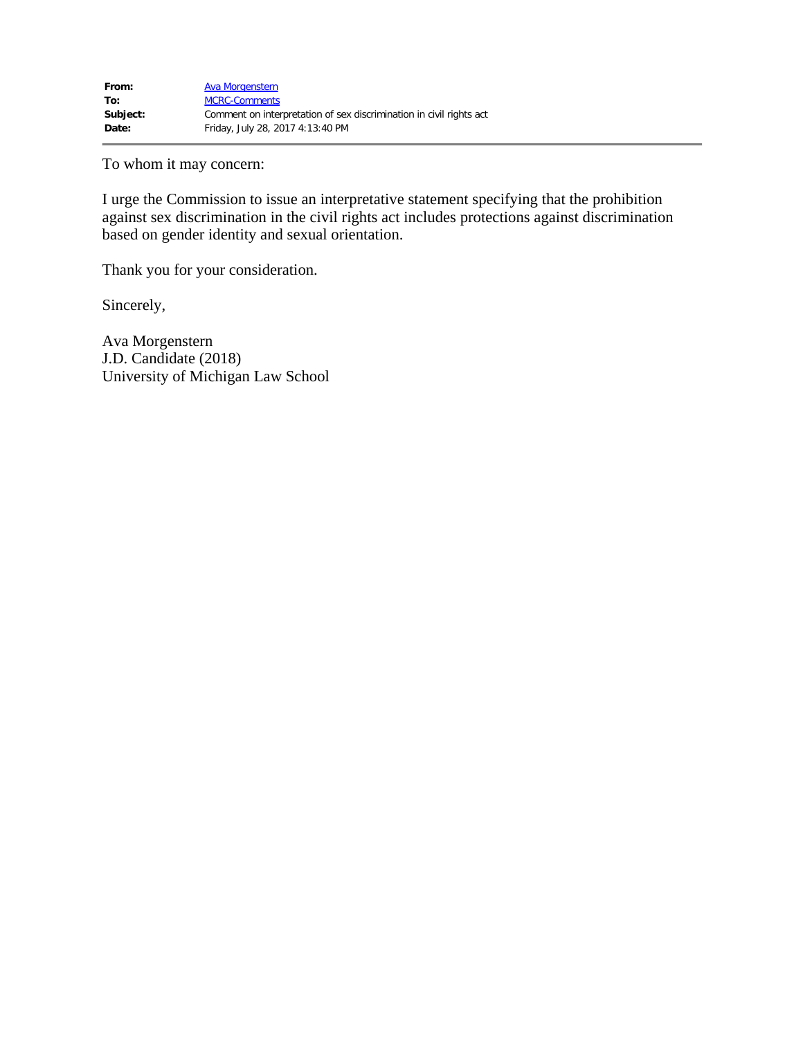To whom it may concern:

 I urge the Commission to issue an interpretative statement specifying that the prohibition against sex discrimination in the civil rights act includes protections against discrimination based on gender identity and sexual orientation.

Thank you for your consideration.

Sincerely,

 Ava Morgenstern J.D. Candidate (2018) University of Michigan Law School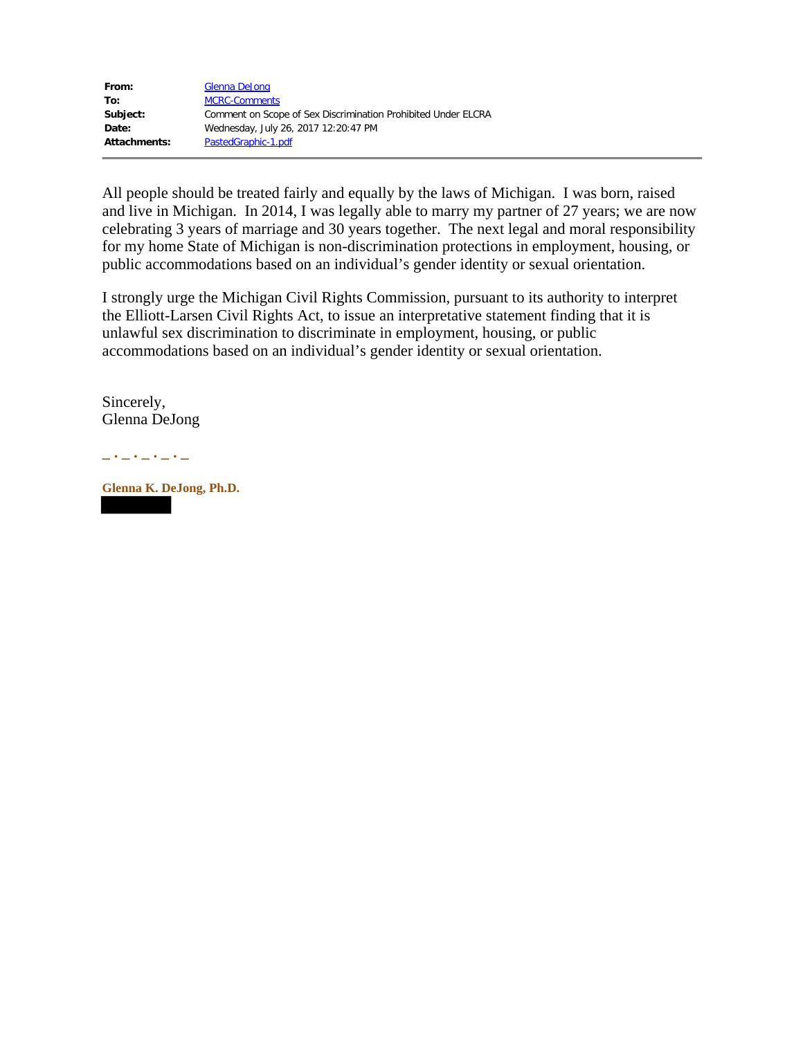| From:        | Glenna DeJong                                                 |
|--------------|---------------------------------------------------------------|
| To:          | <b>MCRC-Comments</b>                                          |
| Subject:     | Comment on Scope of Sex Discrimination Prohibited Under ELCRA |
| Date:        | Wednesday, July 26, 2017 12:20:47 PM                          |
| Attachments: | PastedGraphic-1.pdf                                           |

All people should be treated fairly and equally by the laws of Michigan. I was born, raised and live in Michigan. In 2014, I was legally able to marry my partner of 27 years; we are now celebrating 3 years of marriage and 30 years together. The next legal and moral responsibility for my home State of Michigan is non-discrimination protections in employment, housing, or public accommodations based on an individual's gender identity or sexual orientation.

I strongly urge the Michigan Civil Rights Commission, pursuant to its authority to interpret the Elliott-Larsen Civil Rights Act, to issue an interpretative statement finding that it is unlawful sex discrimination to discriminate in employment, housing, or public accommodations based on an individual's gender identity or sexual orientation.

Sincerely, Glenna DeJong

**\_ . \_ . \_ . \_ . \_** 

**Glenna K. DeJong, Ph.D.**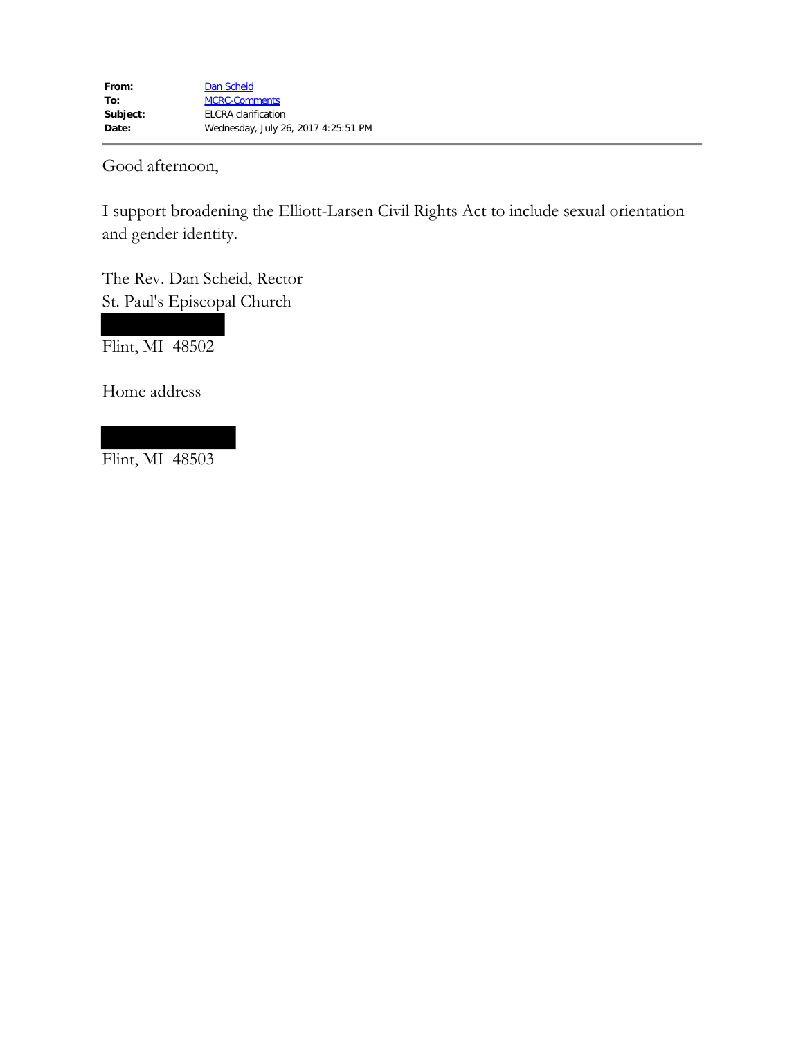Good afternoon,

I support broadening the Elliott-Larsen Civil Rights Act to include sexual orientation and gender identity.

The Rev. Dan Scheid, Rector St. Paul's Episcopal Church

Flint, MI 48502

Home address

Flint, MI  $48503$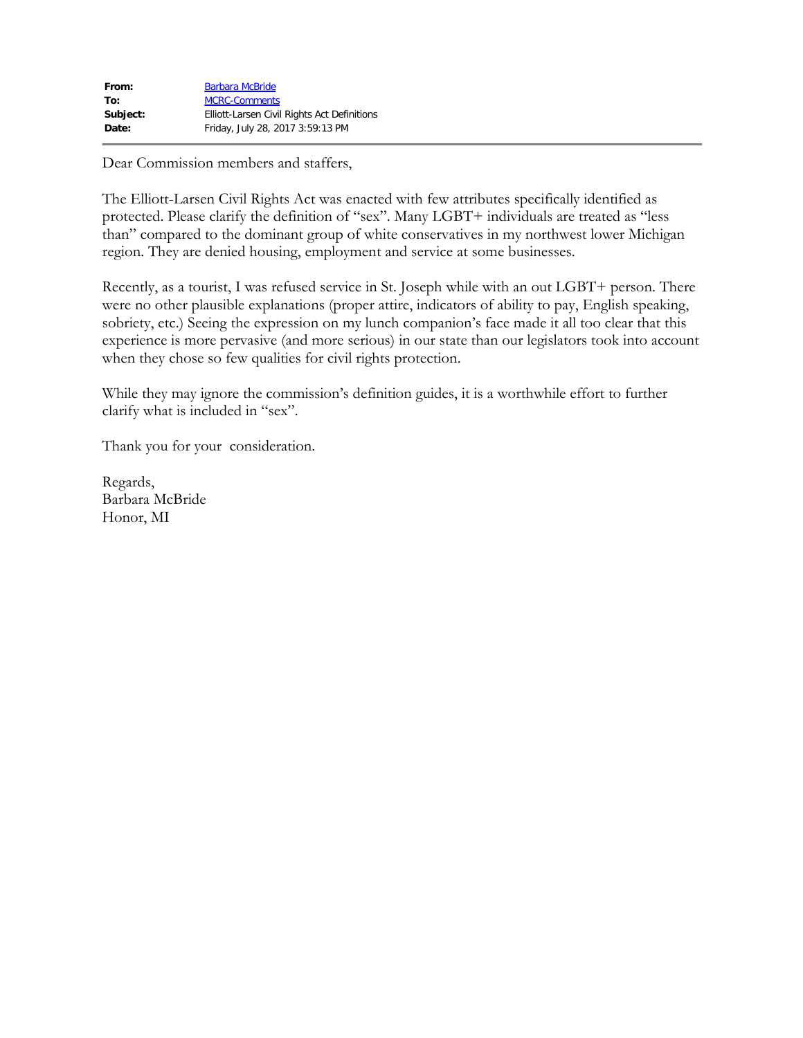| From:    | <b>Barbara McBride</b>                      |
|----------|---------------------------------------------|
| To:      | <b>MCRC-Comments</b>                        |
| Subject: | Elliott-Larsen Civil Rights Act Definitions |
| Date:    | Friday, July 28, 2017 3:59:13 PM            |

Dear Commission members and staffers,

The Elliott-Larsen Civil Rights Act was enacted with few attributes specifically identified as protected. Please clarify the definition of "sex". Many LGBT+ individuals are treated as "less than" compared to the dominant group of white conservatives in my northwest lower Michigan region. They are denied housing, employment and service at some businesses.

Recently, as a tourist, I was refused service in St. Joseph while with an out LGBT+ person. There were no other plausible explanations (proper attire, indicators of ability to pay, English speaking, sobriety, etc.) Seeing the expression on my lunch companion's face made it all too clear that this experience is more pervasive (and more serious) in our state than our legislators took into account when they chose so few qualities for civil rights protection.

While they may ignore the commission's definition guides, it is a worthwhile effort to further clarify what is included in "sex".

Thank you for your consideration.

Regards, Barbara McBride Honor, MI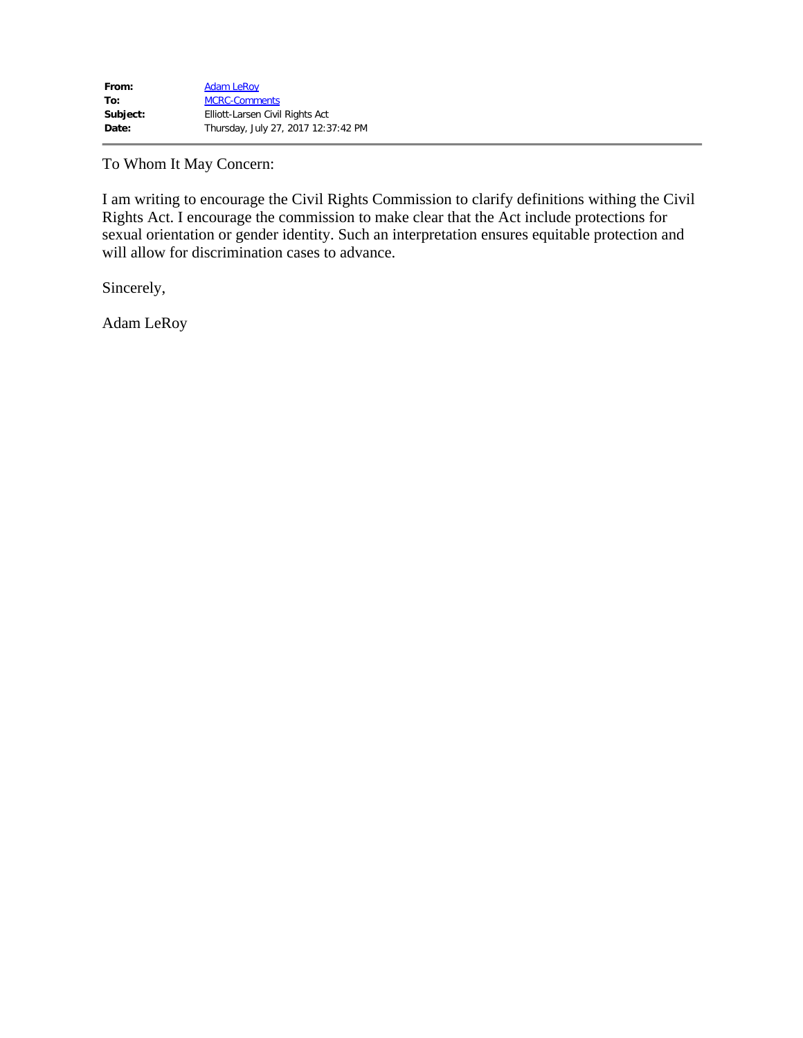To Whom It May Concern:

 will allow for discrimination cases to advance. Sincerely, I am writing to encourage the Civil Rights Commission to clarify definitions withing the Civil Rights Act. I encourage the commission to make clear that the Act include protections for sexual orientation or gender identity. Such an interpretation ensures equitable protection and

Adam LeRoy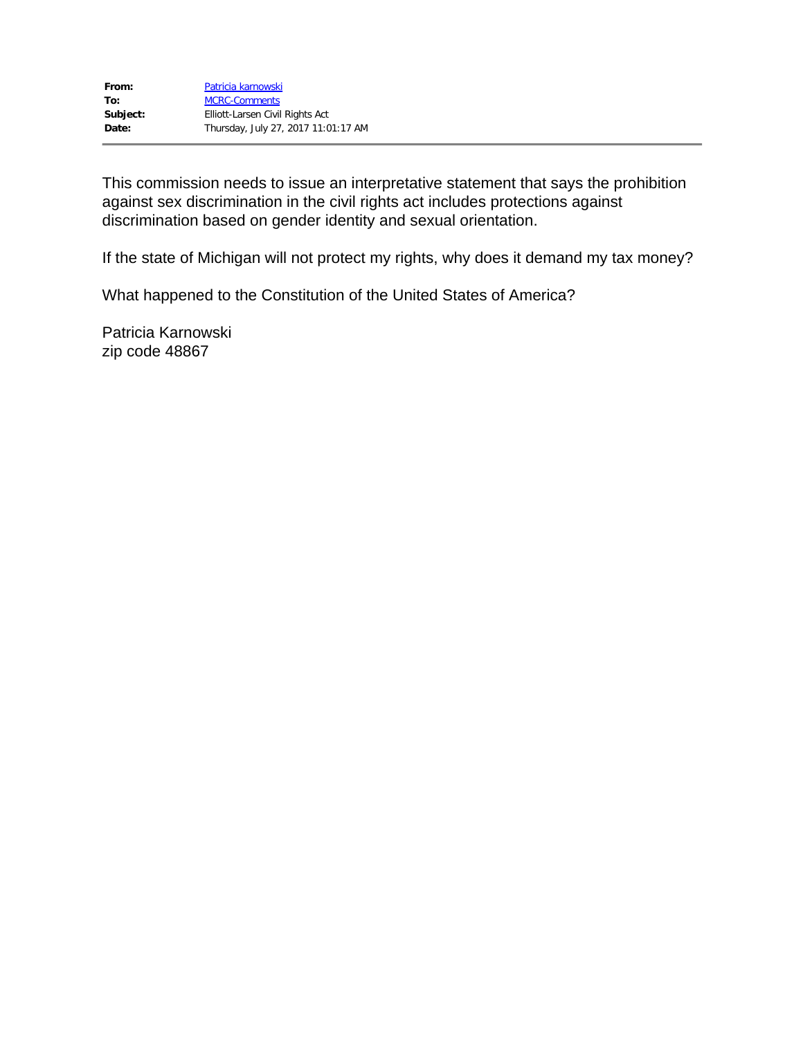This commission needs to issue an interpretative statement that says the prohibition against sex discrimination in the civil rights act includes protections against discrimination based on gender identity and sexual orientation.

If the state of Michigan will not protect my rights, why does it demand my tax money?

What happened to the Constitution of the United States of America?

Patricia Karnowski zip code 48867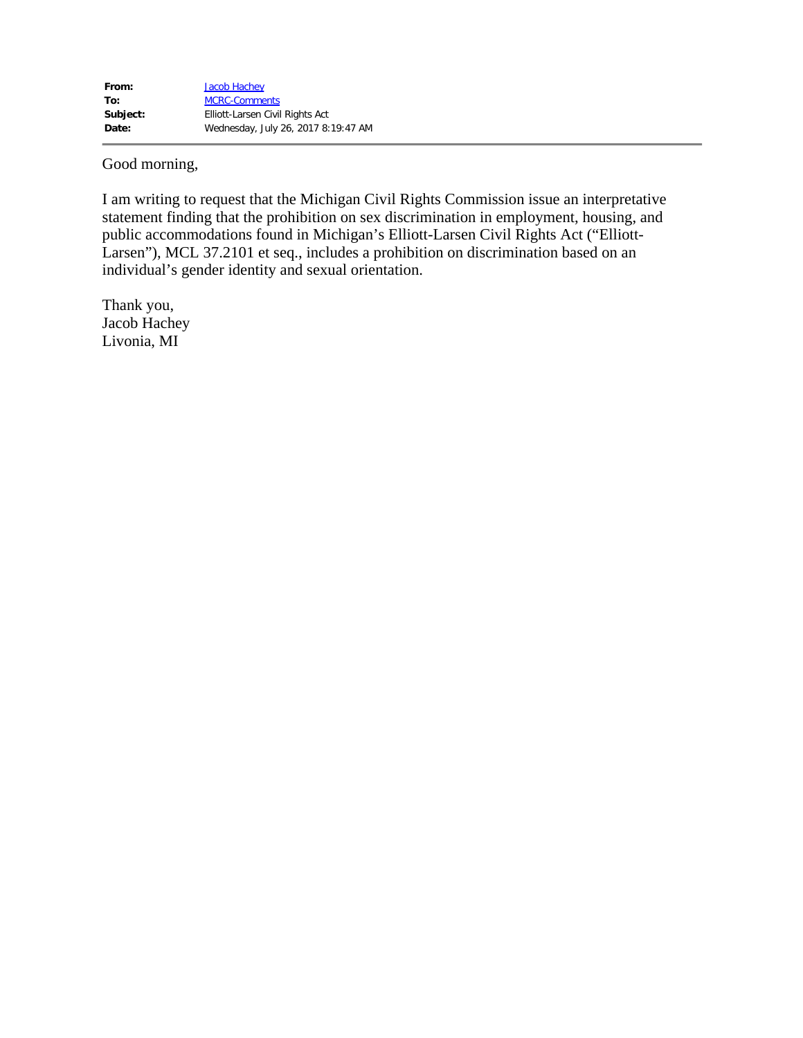Good morning,

I am writing to request that the Michigan Civil Rights Commission issue an interpretative statement finding that the prohibition on sex discrimination in employment, housing, and public accommodations found in Michigan's Elliott-Larsen Civil Rights Act ("Elliott-Larsen"), MCL 37.2101 et seq., includes a prohibition on discrimination based on an individual's gender identity and sexual orientation.

Thank you, Jacob Hachey Livonia, MI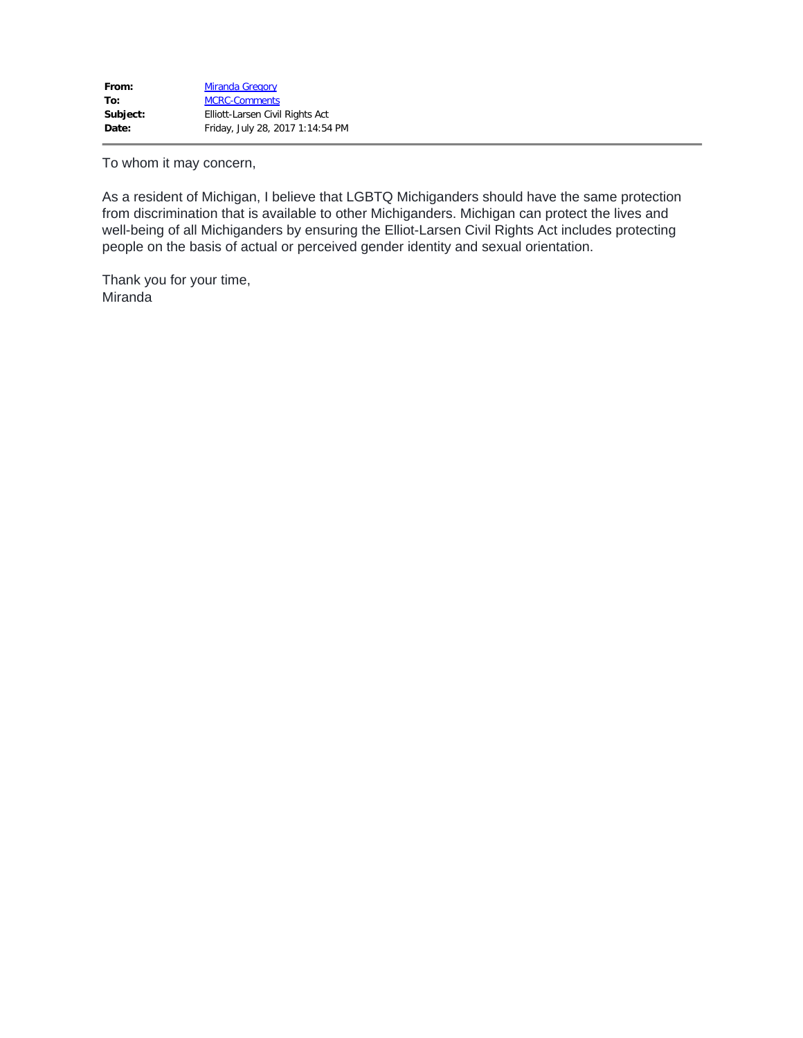To whom it may concern,

As a resident of Michigan, I believe that LGBTQ Michiganders should have the same protection from discrimination that is available to other Michiganders. Michigan can protect the lives and well-being of all Michiganders by ensuring the Elliot-Larsen Civil Rights Act includes protecting people on the basis of actual or perceived gender identity and sexual orientation.

Thank you for your time, Miranda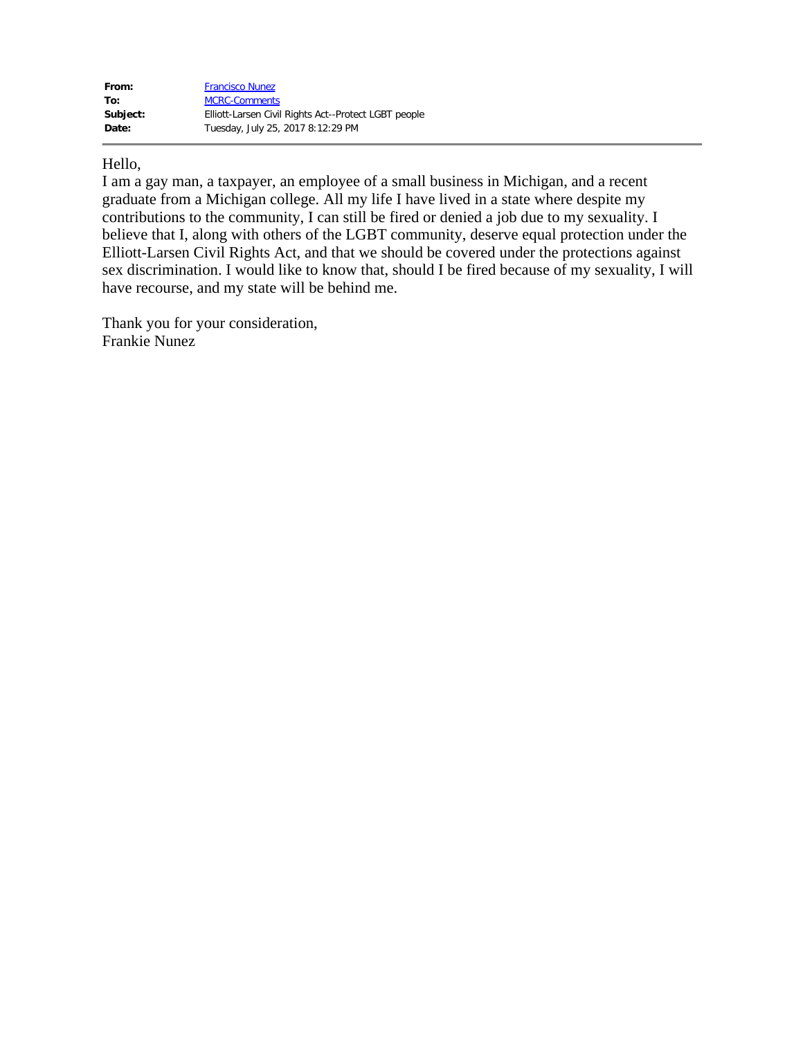| From:    | <b>Francisco Nunez</b>                               |
|----------|------------------------------------------------------|
| To:      | <b>MCRC-Comments</b>                                 |
| Subject: | Elliott-Larsen Civil Rights Act--Protect LGBT people |
| Date:    | Tuesday, July 25, 2017 8:12:29 PM                    |

## Hello,

I am a gay man, a taxpayer, an employee of a small business in Michigan, and a recent graduate from a Michigan college. All my life I have lived in a state where despite my contributions to the community, I can still be fired or denied a job due to my sexuality. I believe that I, along with others of the LGBT community, deserve equal protection under the Elliott-Larsen Civil Rights Act, and that we should be covered under the protections against sex discrimination. I would like to know that, should I be fired because of my sexuality, I will have recourse, and my state will be behind me.

Thank you for your consideration, Frankie Nunez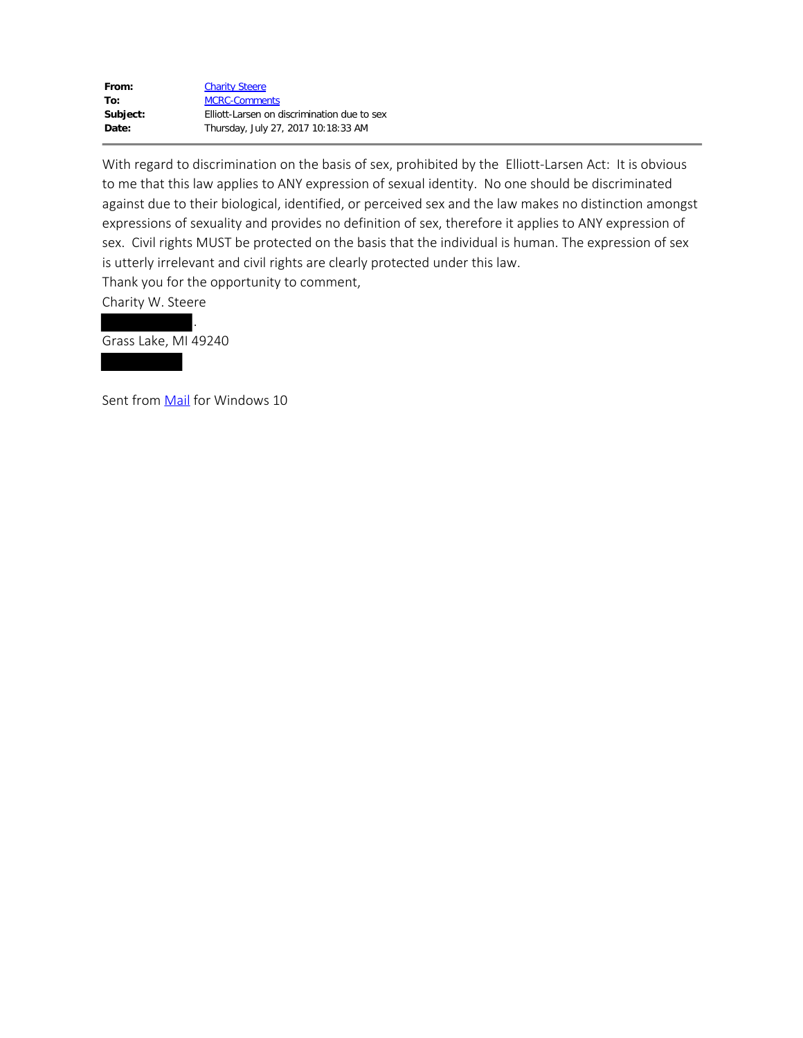| From:    | <b>Charity Steere</b>                       |
|----------|---------------------------------------------|
| To:      | <b>MCRC-Comments</b>                        |
| Subject: | Elliott-Larsen on discrimination due to sex |
| Date:    | Thursday, July 27, 2017 10:18:33 AM         |

With regard to discrimination on the basis of sex, prohibited by the Elliott-Larsen Act: It is obvious to me that this law applies to ANY expression of sexual identity. No one should be discriminated against due to their biological, identified, or perceived sex and the law makes no distinction amongst expressions of sexuality and provides no definition of sex, therefore it applies to ANY expression of sex. Civil rights MUST be protected on the basis that the individual is human. The expression of sex is utterly irrelevant and civil rights are clearly protected under this law. Thank you for the opportunity to comment,

Charity W. Steere

Grass Lake, MI 49240

Sent from Mail for Windows 10

.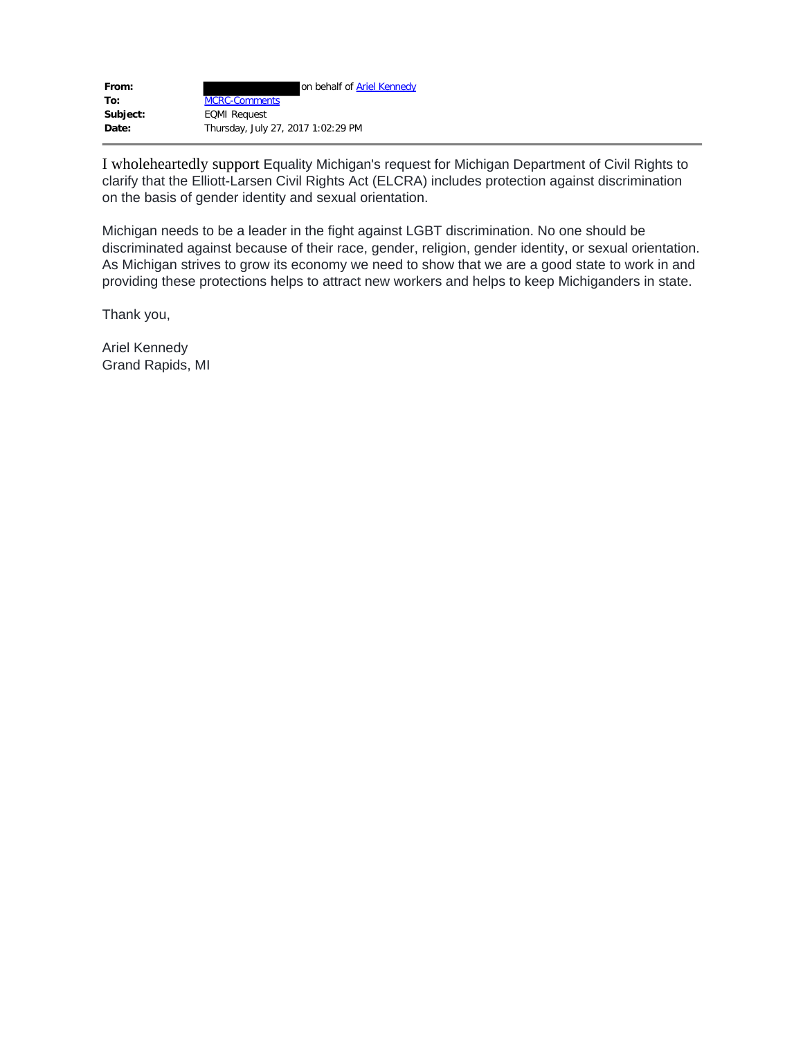| From:    | on behalf of <b>Ariel Kennedy</b>  |
|----------|------------------------------------|
| To:      | <b>MCRC-Comments</b>               |
| Subject: | <b>EQMI Request</b>                |
| Date:    | Thursday, July 27, 2017 1:02:29 PM |

I wholeheartedly support Equality Michigan's request for Michigan Department of Civil Rights to clarify that the Elliott-Larsen Civil Rights Act (ELCRA) includes protection against discrimination on the basis of gender identity and sexual orientation.

Michigan needs to be a leader in the fight against LGBT discrimination. No one should be discriminated against because of their race, gender, religion, gender identity, or sexual orientation. As Michigan strives to grow its economy we need to show that we are a good state to work in and providing these protections helps to attract new workers and helps to keep Michiganders in state.

Thank you,

Ariel Kennedy Grand Rapids, MI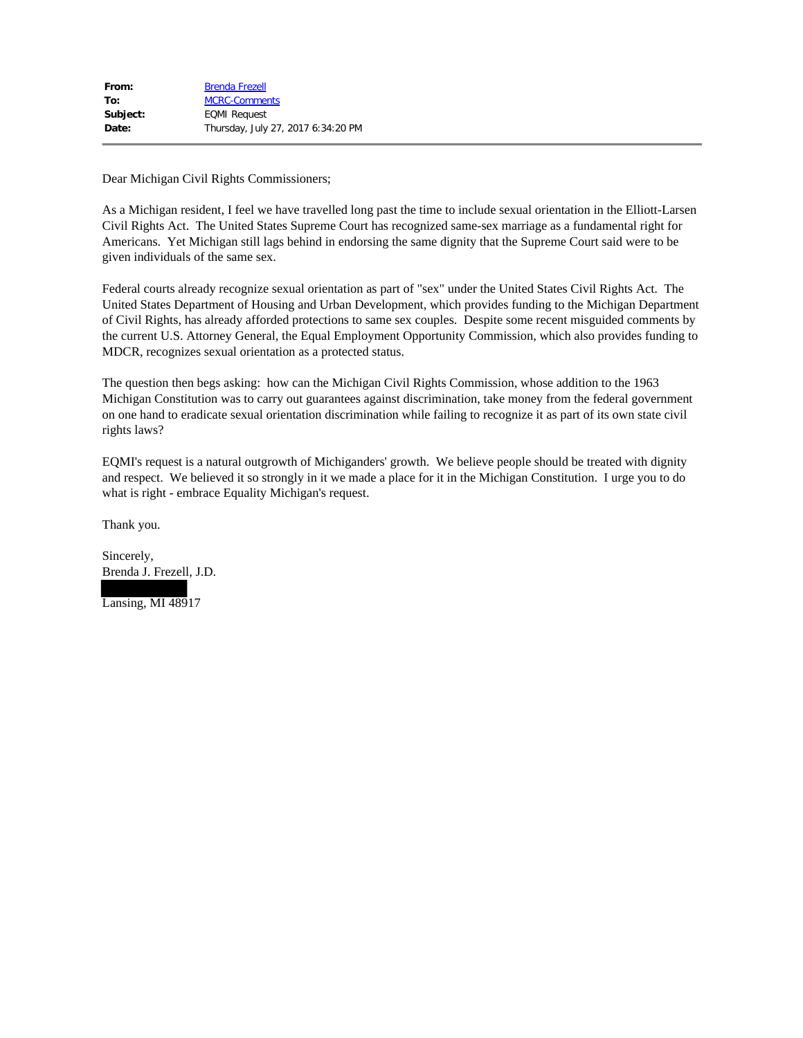Dear Michigan Civil Rights Commissioners;

As a Michigan resident, I feel we have travelled long past the time to include sexual orientation in the Elliott-Larsen Civil Rights Act. The United States Supreme Court has recognized same-sex marriage as a fundamental right for Americans. Yet Michigan still lags behind in endorsing the same dignity that the Supreme Court said were to be given individuals of the same sex.

Federal courts already recognize sexual orientation as part of "sex" under the United States Civil Rights Act. The United States Department of Housing and Urban Development, which provides funding to the Michigan Department of Civil Rights, has already afforded protections to same sex couples. Despite some recent misguided comments by the current U.S. Attorney General, the Equal Employment Opportunity Commission, which also provides funding to MDCR, recognizes sexual orientation as a protected status.

The question then begs asking: how can the Michigan Civil Rights Commission, whose addition to the 1963 Michigan Constitution was to carry out guarantees against discrimination, take money from the federal government on one hand to eradicate sexual orientation discrimination while failing to recognize it as part of its own state civil rights laws?

EQMI's request is a natural outgrowth of Michiganders' growth. We believe people should be treated with dignity and respect. We believed it so strongly in it we made a place for it in the Michigan Constitution. I urge you to do what is right - embrace Equality Michigan's request.

Thank you.

Sincerely, Brenda J. Frezell, J.D.

Lansing, MI 48917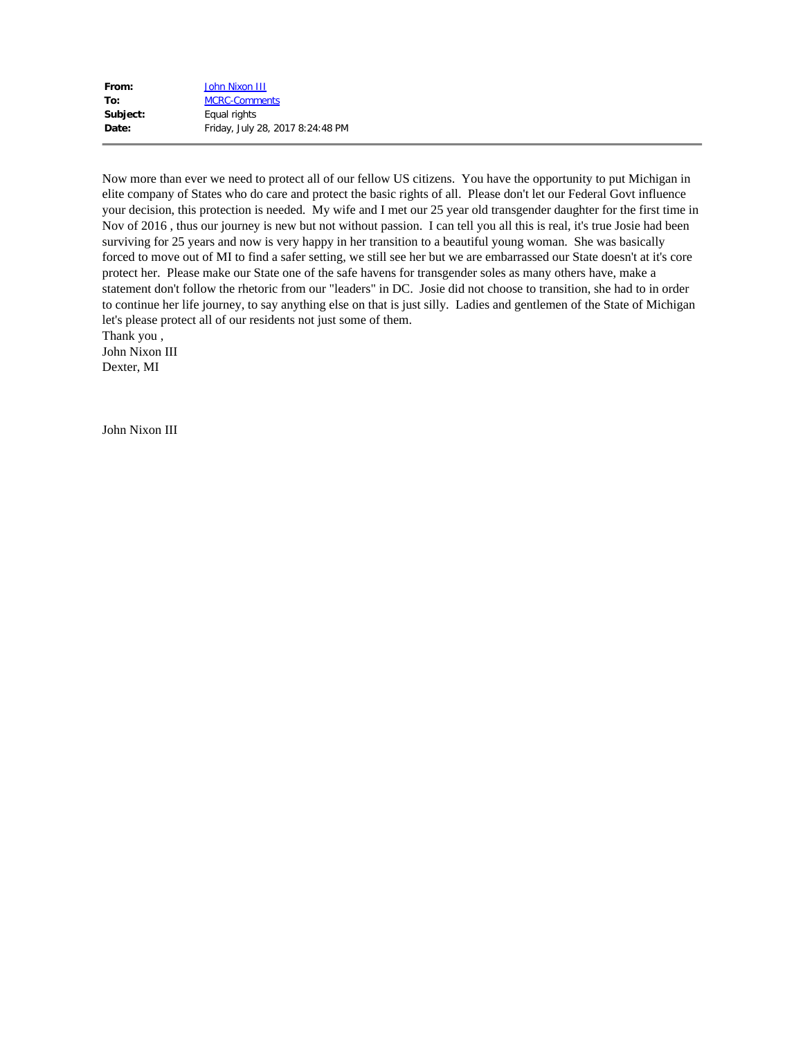| From:    | John Nixon III                   |
|----------|----------------------------------|
| To:      | <b>MCRC-Comments</b>             |
| Subject: | Equal rights                     |
| Date:    | Friday, July 28, 2017 8:24:48 PM |

Now more than ever we need to protect all of our fellow US citizens. You have the opportunity to put Michigan in elite company of States who do care and protect the basic rights of all. Please don't let our Federal Govt influence your decision, this protection is needed. My wife and I met our 25 year old transgender daughter for the first time in Nov of 2016 , thus our journey is new but not without passion. I can tell you all this is real, it's true Josie had been surviving for 25 years and now is very happy in her transition to a beautiful young woman. She was basically forced to move out of MI to find a safer setting, we still see her but we are embarrassed our State doesn't at it's core protect her. Please make our State one of the safe havens for transgender soles as many others have, make a statement don't follow the rhetoric from our "leaders" in DC. Josie did not choose to transition, she had to in order to continue her life journey, to say anything else on that is just silly. Ladies and gentlemen of the State of Michigan let's please protect all of our residents not just some of them.

Thank you , John Nixon III

Dexter, MI

John Nixon III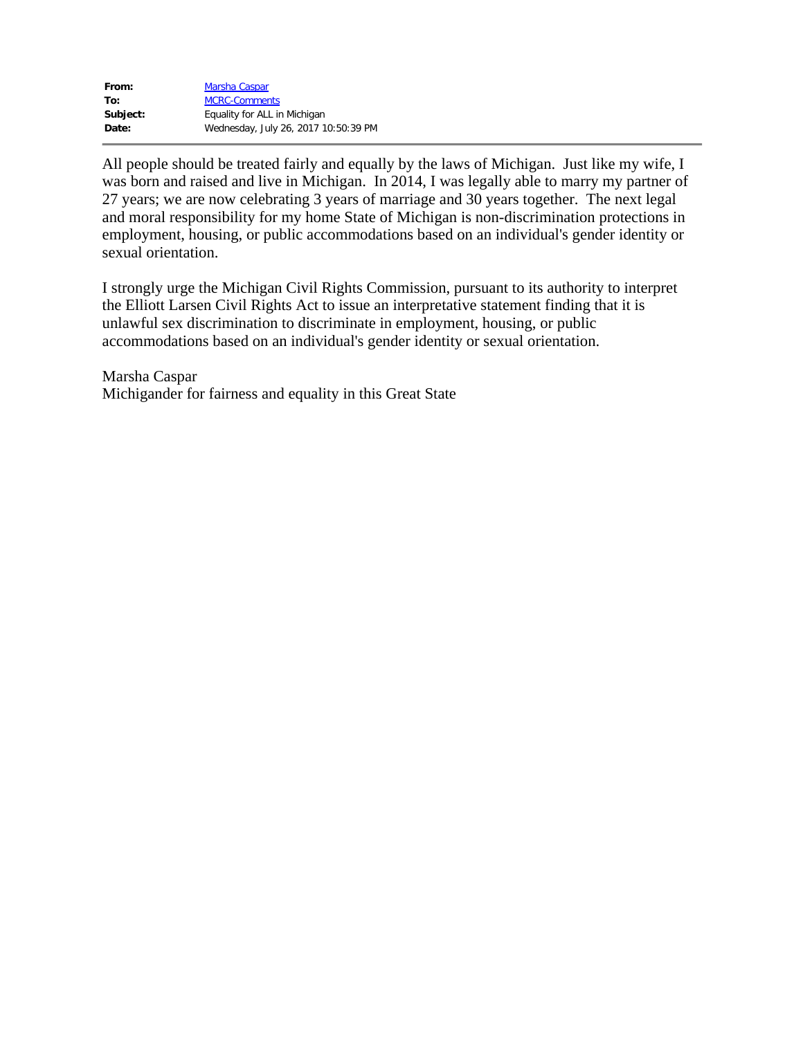| From:    | Marsha Caspar                        |
|----------|--------------------------------------|
| To:      | <b>MCRC-Comments</b>                 |
| Subject: | Equality for ALL in Michigan         |
| Date:    | Wednesday, July 26, 2017 10:50:39 PM |

All people should be treated fairly and equally by the laws of Michigan. Just like my wife, I was born and raised and live in Michigan. In 2014, I was legally able to marry my partner of 27 years; we are now celebrating 3 years of marriage and 30 years together. The next legal and moral responsibility for my home State of Michigan is non-discrimination protections in employment, housing, or public accommodations based on an individual's gender identity or sexual orientation.

I strongly urge the Michigan Civil Rights Commission, pursuant to its authority to interpret the Elliott Larsen Civil Rights Act to issue an interpretative statement finding that it is unlawful sex discrimination to discriminate in employment, housing, or public accommodations based on an individual's gender identity or sexual orientation.

Marsha Caspar Michigander for fairness and equality in this Great State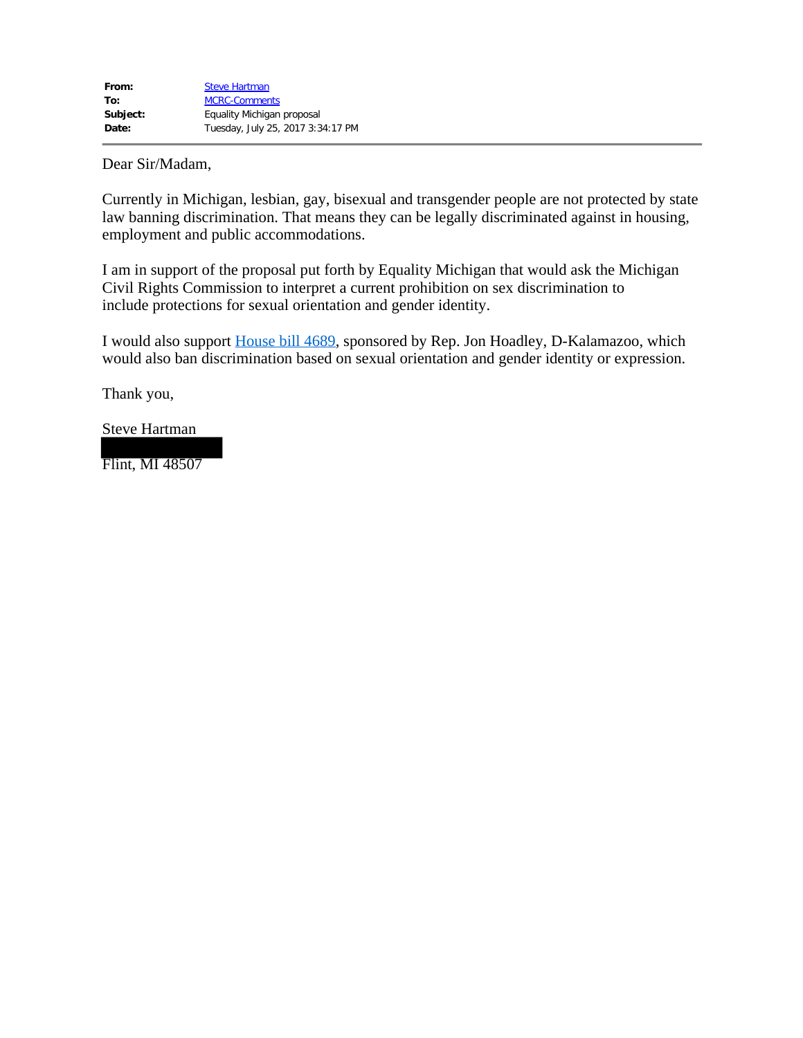Dear Sir/Madam,

Currently in Michigan, lesbian, gay, bisexual and transgender people are not protected by state law banning discrimination. That means they can be legally discriminated against in housing, employment and public accommodations. Dear Sir/Madam,<br>Currently in Michigan, lesbian, gay, bisexual and transgender people are not protected by state<br>law banning discrimination. That means they can be legally discriminated against in housing,<br>employment and pu

I am in support of the proposal put forth by Equality Michigan that would ask the Michigan Civil Rights Commission to interpret a current prohibition on sex discrimination to include protections for sexual orientation and gender identity.

I would also support House bill 4689, sponsored by Rep. Jon Hoadley, D-Kalamazoo, which would also ban discrimination based on sexual orientation and gender identity or expression.

Steve Hartman

Flint, MI 48507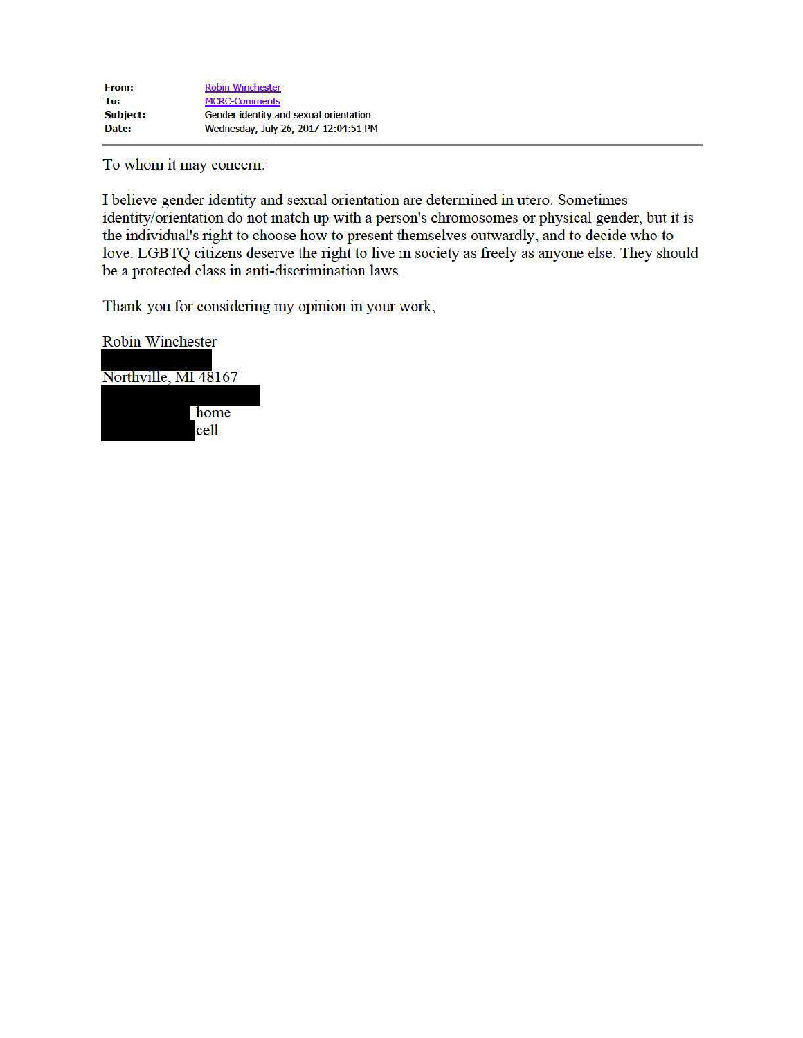To whom it may concern:

I believe gender identity and sexual orientation are determined in utero. Sometimes identity/orientation do not match up with a person's chromosomes or physical gender, but it is the individual's right to choose how to present themselves outwardly, and to decide who to love. LGBTQ citizens deserve the right to live in society as freely as anyone else. They should be a protected class in anti-discrimination laws.

Thank you for considering my opinion in your work,

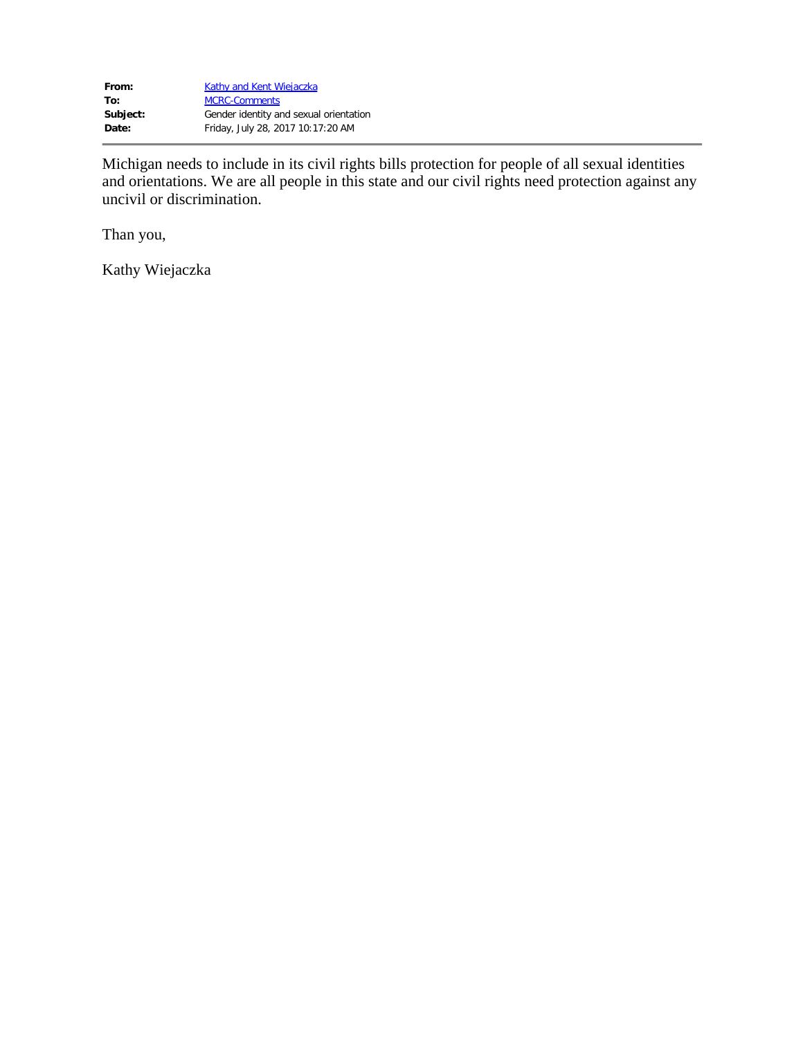| Kathy and Kent Wiejaczka               |
|----------------------------------------|
| <b>MCRC-Comments</b>                   |
| Gender identity and sexual orientation |
| Friday, July 28, 2017 10:17:20 AM      |
|                                        |

Michigan needs to include in its civil rights bills protection for people of all sexual identities and orientations. We are all people in this state and our civil rights need protection against any uncivil or discrimination.

Than you,

Kathy Wiejaczka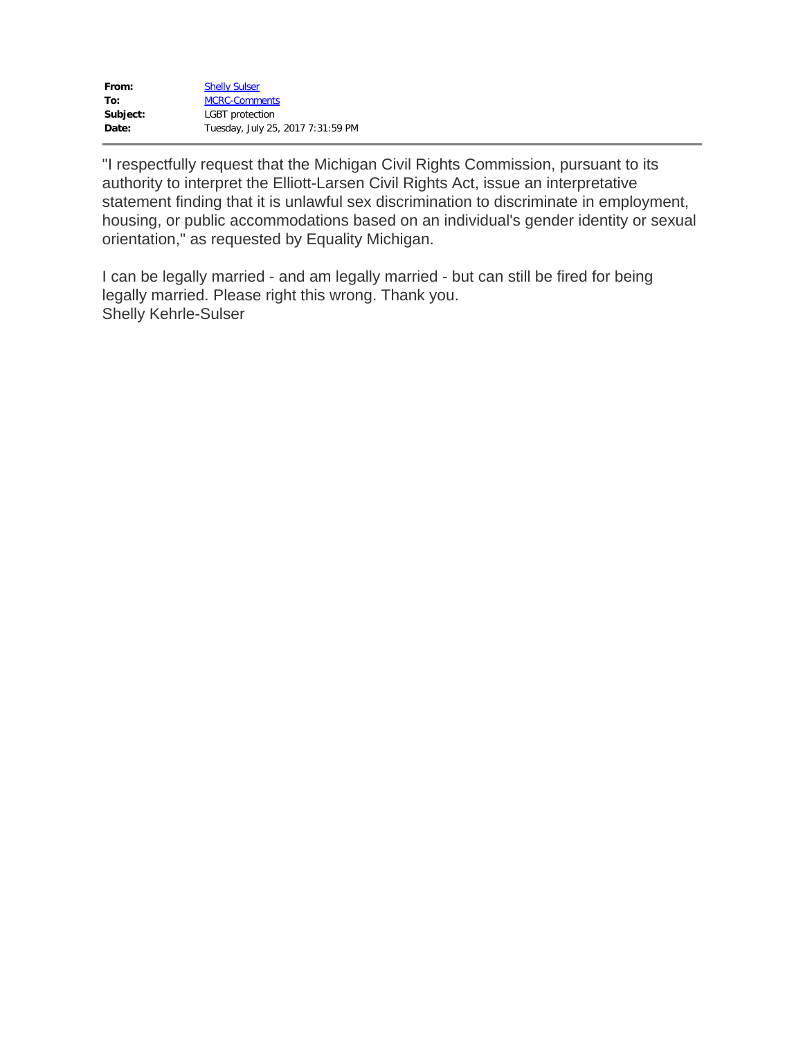| From:    | <b>Shelly Sulser</b>              |
|----------|-----------------------------------|
| To:      | <b>MCRC-Comments</b>              |
| Subject: | <b>LGBT</b> protection            |
| Date:    | Tuesday, July 25, 2017 7:31:59 PM |

"I respectfully request that the Michigan Civil Rights Commission, pursuant to its authority to interpret the Elliott-Larsen Civil Rights Act, issue an interpretative statement finding that it is unlawful sex discrimination to discriminate in employment, housing, or public accommodations based on an individual's gender identity or sexual orientation," as requested by Equality Michigan.

I can be legally married - and am legally married - but can still be fired for being legally married. Please right this wrong. Thank you. Shelly Kehrle-Sulser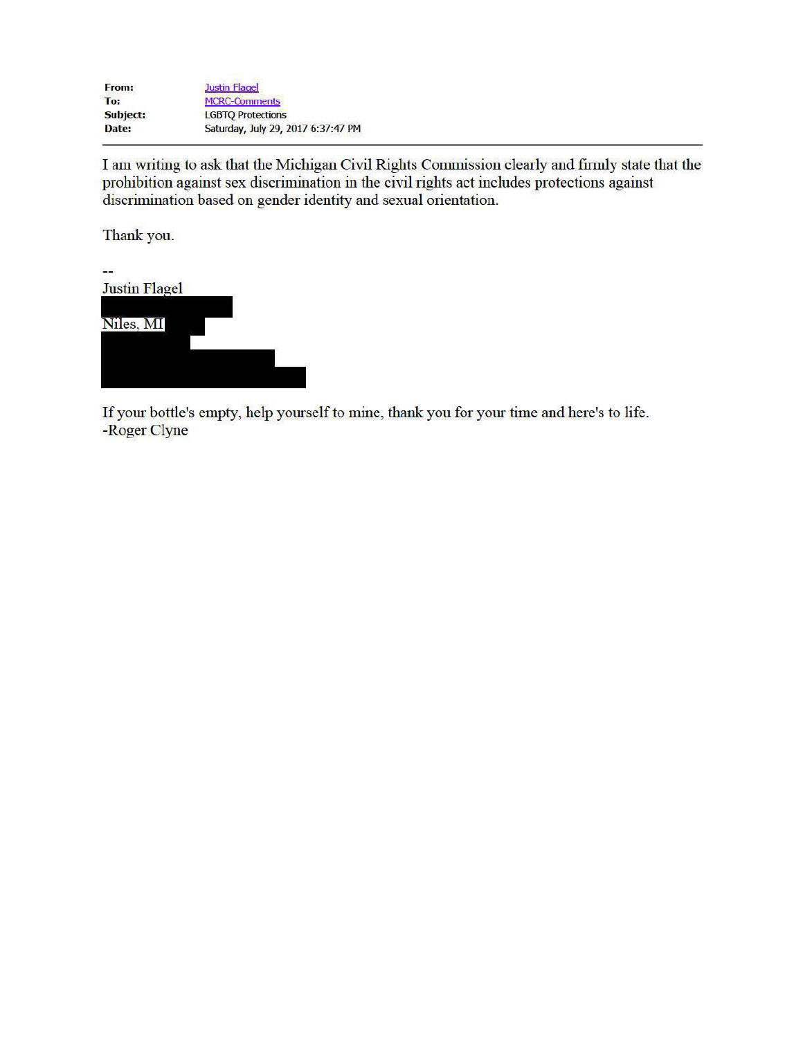| From:    | <b>Justin Flagel</b>               |
|----------|------------------------------------|
| To:      | <b>MCRC-Comments</b>               |
| Subject: | <b>LGBTO Protections</b>           |
| Date:    | Saturday, July 29, 2017 6:37:47 PM |

I am writing to ask that the Michigan Civil Rights Commission clearly and firmly state that the prohibition against sex discrimination in the civil rights act includes protections against discrimination based on gender ide

Thank you.



If your bottle's empty, help yourself to mine, thank you for your time and here's to life. -Roger Clyne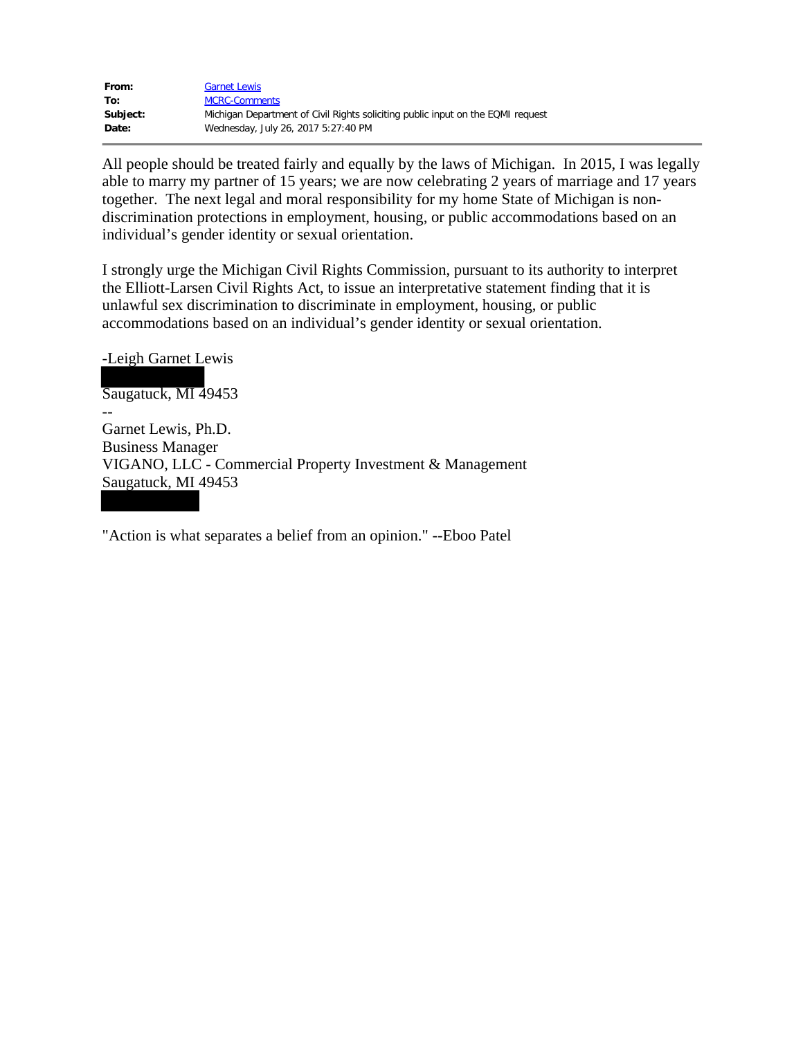| From:    | <b>Garnet Lewis</b>                                                             |
|----------|---------------------------------------------------------------------------------|
| To:      | <b>MCRC-Comments</b>                                                            |
| Subject: | Michigan Department of Civil Rights soliciting public input on the EQMI request |
| Date:    | Wednesday, July 26, 2017 5:27:40 PM                                             |

All people should be treated fairly and equally by the laws of Michigan. In 2015, I was legally able to marry my partner of 15 years; we are now celebrating 2 years of marriage and 17 years together. The next legal and moral responsibility for my home State of Michigan is nondiscrimination protections in employment, housing, or public accommodations based on an individual's gender identity or sexual orientation.

I strongly urge the Michigan Civil Rights Commission, pursuant to its authority to interpret the Elliott-Larsen Civil Rights Act, to issue an interpretative statement finding that it is unlawful sex discrimination to discriminate in employment, housing, or public accommodations based on an individual's gender identity or sexual orientation.

-Leigh Garnet Lewis

-- Saugatuck, MI 49453 Garnet Lewis, Ph.D. Business Manager VIGANO, LLC - Commercial Property Investment & Management Saugatuck, MI 49453

"Action is what separates a belief from an opinion." --Eboo Patel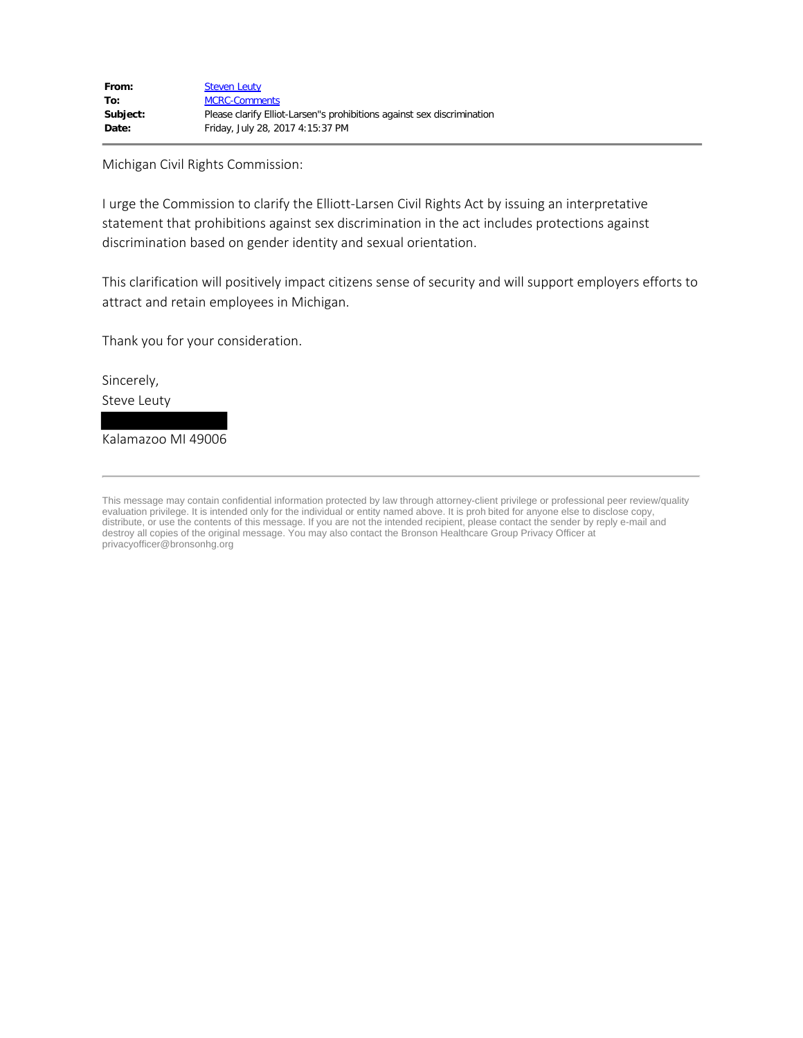Michigan Civil Rights Commission:

I urge the Commission to clarify the Elliott-Larsen Civil Rights Act by issuing an interpretative statement that prohibitions against sex discrimination in the act includes protections against discrimination based on gender identity and sexual orientation.

This clarification will positively impact citizens sense of security and will support employers efforts to attract and retain employees in Michigan.

Thank you for your consideration.

Sincerely, Steve Leuty

Kalamazoo MI 49006

This message may contain confidential information protected by law through attorney-client privilege or professional peer review/quality evaluation privilege. It is intended only for the individual or entity named above. It is proh bited for anyone else to disclose copy, distribute, or use the contents of this message. If you are not the intended recipient, please contact the sender by reply e-mail and destroy all copies of the original message. You may also contact the Bronson Healthcare Group Privacy Officer at privacyofficer@bronsonhg.org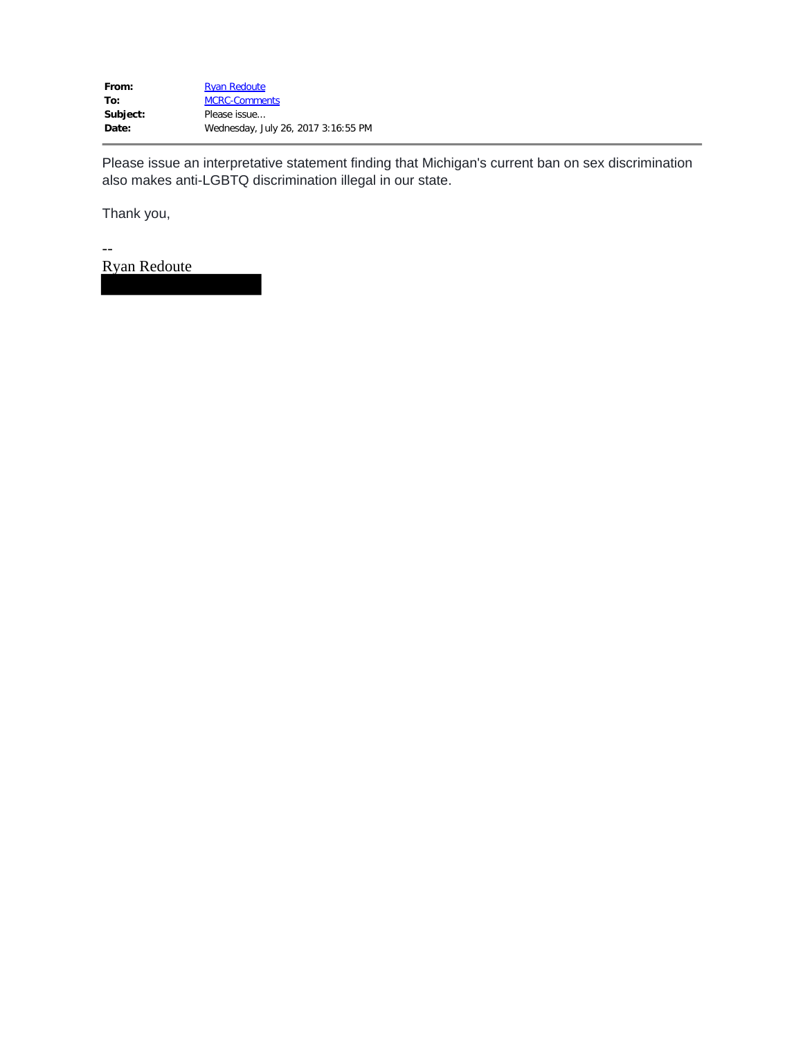Please issue an interpretative statement finding that Michigan's current ban on sex discrimination also makes anti-LGBTQ discrimination illegal in our state.

Thank you,

-- Ryan Redoute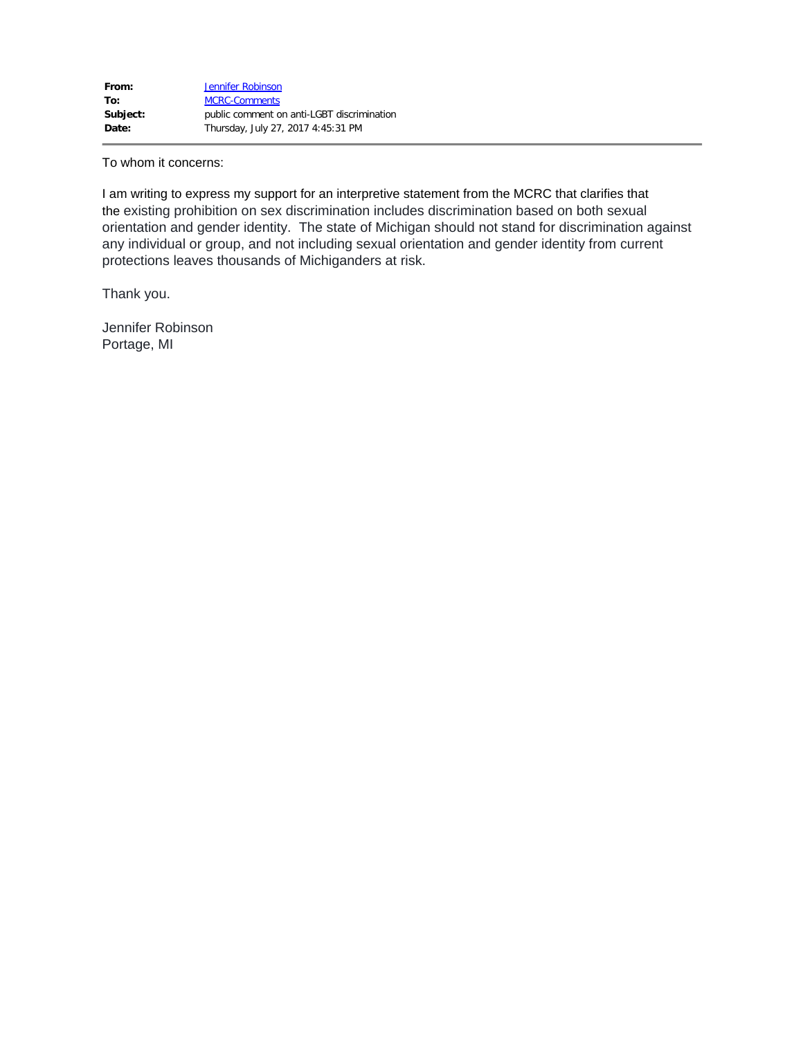To whom it concerns:

I am writing to express my support for an interpretive statement from the MCRC that clarifies that the existing prohibition on sex discrimination includes discrimination based on both sexual orientation and gender identity. The state of Michigan should not stand for discrimination against any individual or group, and not including sexual orientation and gender identity from current protections leaves thousands of Michiganders at risk.

Thank you.

Jennifer Robinson Portage, MI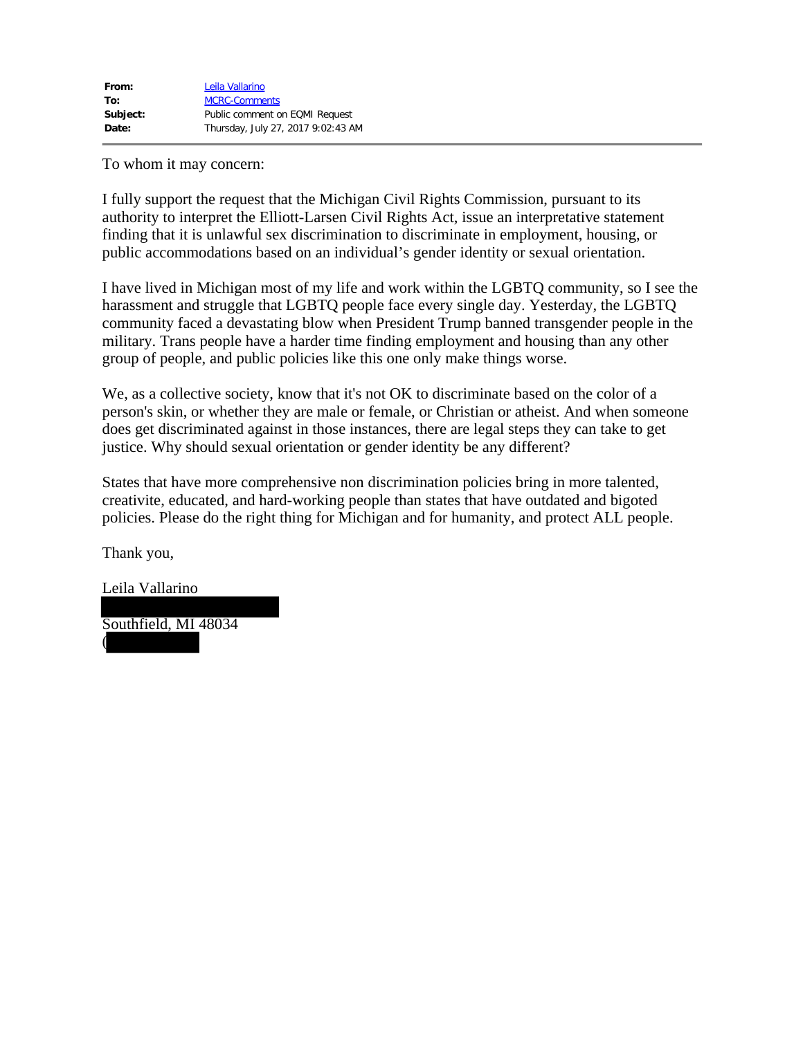To whom it may concern:

I fully support the request that the Michigan Civil Rights Commission, pursuant to its authority to interpret the Elliott-Larsen Civil Rights Act, issue an interpretative statement finding that it is unlawful sex discrimination to discriminate in employment, housing, or public accommodations based on an individual's gender identity or sexual orientation.

I have lived in Michigan most of my life and work within the LGBTQ community, so I see the harassment and struggle that LGBTQ people face every single day. Yesterday, the LGBTQ community faced a devastating blow when President Trump banned transgender people in the military. Trans people have a harder time finding employment and housing than any other group of people, and public policies like this one only make things worse.

We, as a collective society, know that it's not OK to discriminate based on the color of a person's skin, or whether they are male or female, or Christian or atheist. And when someone does get discriminated against in those instances, there are legal steps they can take to get justice. Why should sexual orientation or gender identity be any different?

States that have more comprehensive non discrimination policies bring in more talented, creativite, educated, and hard-working people than states that have outdated and bigoted policies. Please do the right thing for Michigan and for humanity, and protect ALL people.

Thank you,

(

Leila Vallarino

Southfield, MI 48034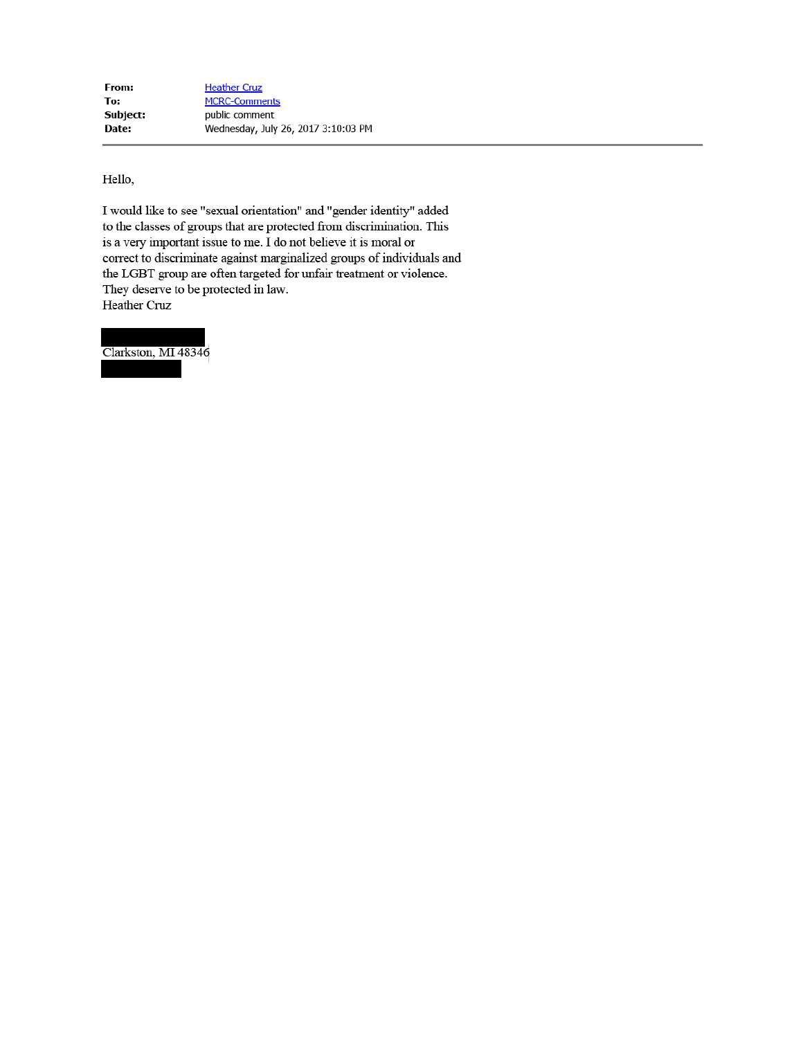Hello,

I would like to see "sexual orientation" and "gender identity" added to the classes of groups that are protected from discrimination. This is a very important issue to me. I do not believe it is moral or correct to discriminate against marginalized groups of individuals and the LGBT group are often targeted for unfair treatment or violence. They deserve to be protected in law. Heather Cruz

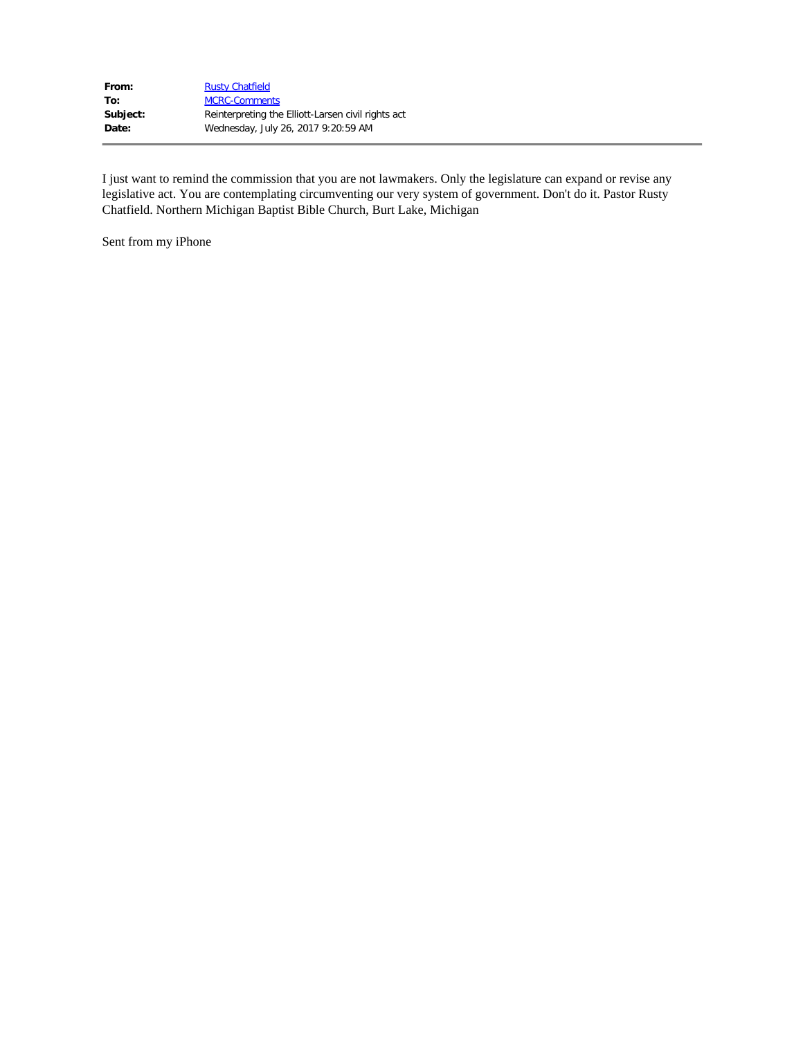| From:    | <b>Rusty Chatfield</b>                             |
|----------|----------------------------------------------------|
| To:      | <b>MCRC-Comments</b>                               |
| Subject: | Reinterpreting the Elliott-Larsen civil rights act |
| Date:    | Wednesday, July 26, 2017 9:20:59 AM                |

I just want to remind the commission that you are not lawmakers. Only the legislature can expand or revise any legislative act. You are contemplating circumventing our very system of government. Don't do it. Pastor Rusty Chatfield. Northern Michigan Baptist Bible Church, Burt Lake, Michigan

Sent from my iPhone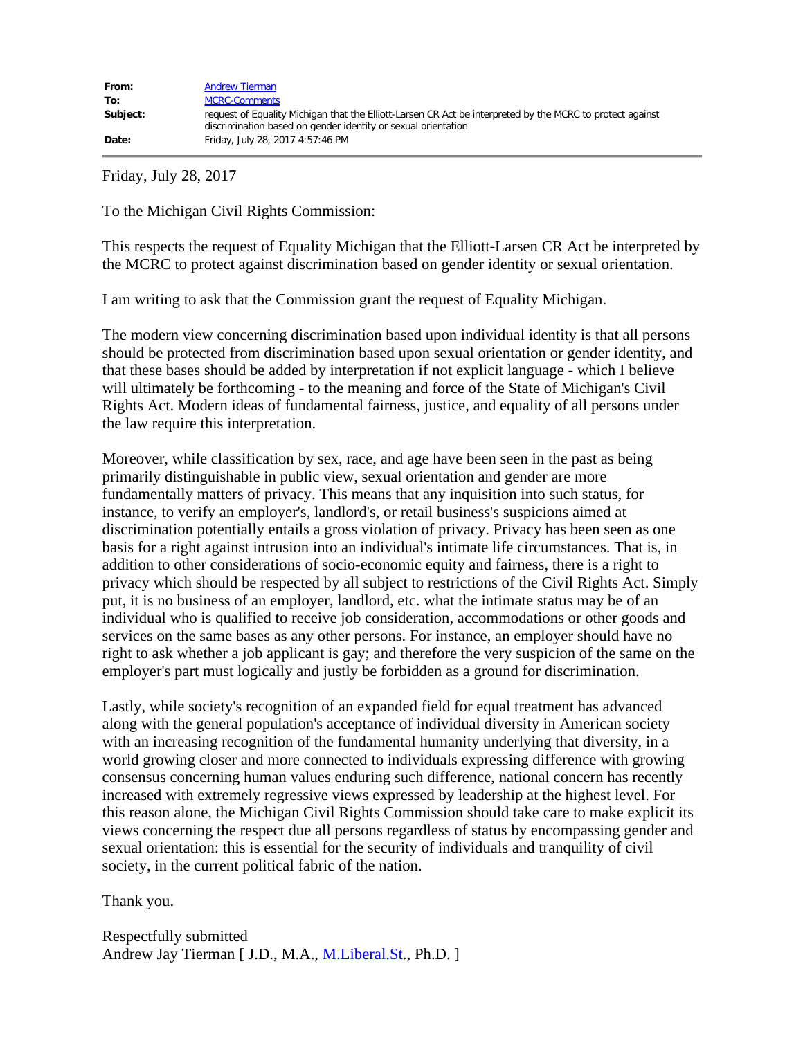Friday, July 28, 2017

To the Michigan Civil Rights Commission:

This respects the request of Equality Michigan that the Elliott-Larsen CR Act be interpreted by the MCRC to protect against discrimination based on gender identity or sexual orientation.

I am writing to ask that the Commission grant the request of Equality Michigan.

The modern view concerning discrimination based upon individual identity is that all persons should be protected from discrimination based upon sexual orientation or gender identity, and that these bases should be added by interpretation if not explicit language - which I believe will ultimately be forthcoming - to the meaning and force of the State of Michigan's Civil Rights Act. Modern ideas of fundamental fairness, justice, and equality of all persons under the law require this interpretation.

Moreover, while classification by sex, race, and age have been seen in the past as being primarily distinguishable in public view, sexual orientation and gender are more fundamentally matters of privacy. This means that any inquisition into such status, for instance, to verify an employer's, landlord's, or retail business's suspicions aimed at discrimination potentially entails a gross violation of privacy. Privacy has been seen as one basis for a right against intrusion into an individual's intimate life circumstances. That is, in addition to other considerations of socio-economic equity and fairness, there is a right to privacy which should be respected by all subject to restrictions of the Civil Rights Act. Simply put, it is no business of an employer, landlord, etc. what the intimate status may be of an individual who is qualified to receive job consideration, accommodations or other goods and services on the same bases as any other persons. For instance, an employer should have no right to ask whether a job applicant is gay; and therefore the very suspicion of the same on the employer's part must logically and justly be forbidden as a ground for discrimination. This respects the request of Equality Michigan that the Elliott-Larenc CR Art be interpreted by<br>the MCRC to protect against discrimination hased on gender identity or sexual orientation.<br>
The modern view concerning discrim

Lastly, while society's recognition of an expanded field for equal treatment has advanced along with the general population's acceptance of individual diversity in American society with an increasing recognition of the fundamental humanity underlying that diversity, in a world growing closer and more connected to individuals expressing difference with growing consensus concerning human values enduring such difference, national concern has recently increased with extremely regressive views expressed by leadership at the highest level. For this reason alone, the Michigan Civil Rights Commission should take care to make explicit its views concerning the respect due all persons regardless of status by encompassing gender and sexual orientation: this is essential for the security of individuals and tranquility of civil society, in the current political fabric of the nation.

Thank you.

Respectfully submitted Andrew Jay Tierman [ J.D., M.A., M.Liberal.St., Ph.D. ]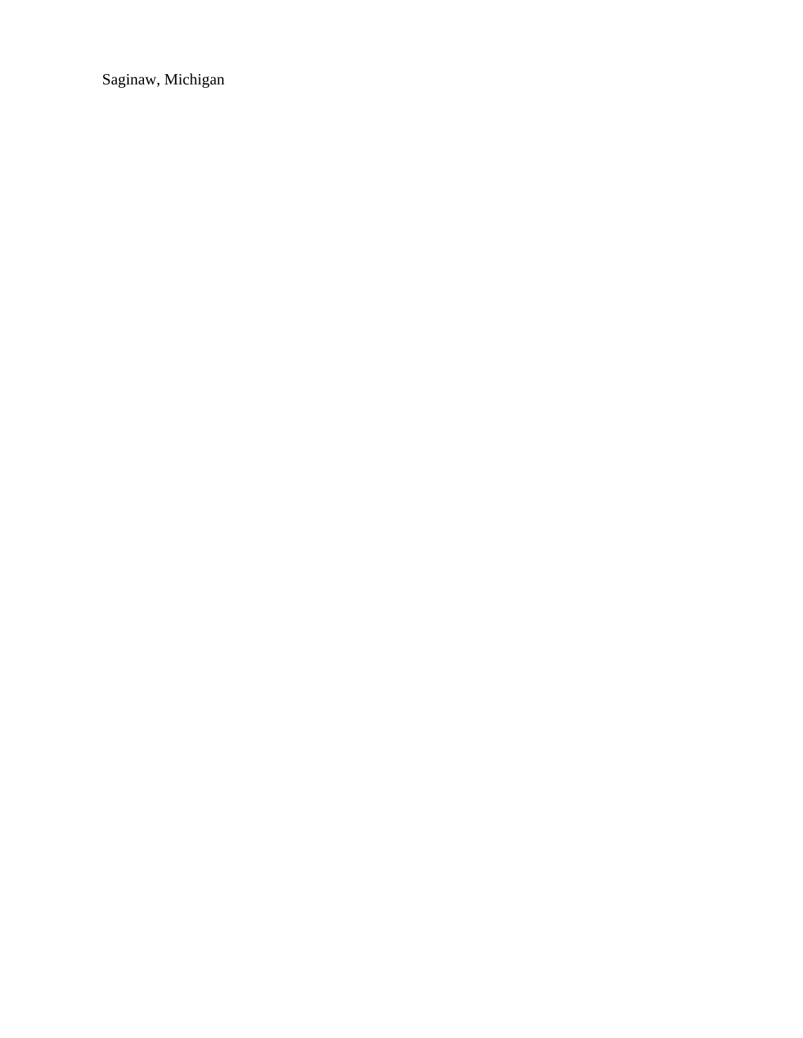Saginaw, Michigan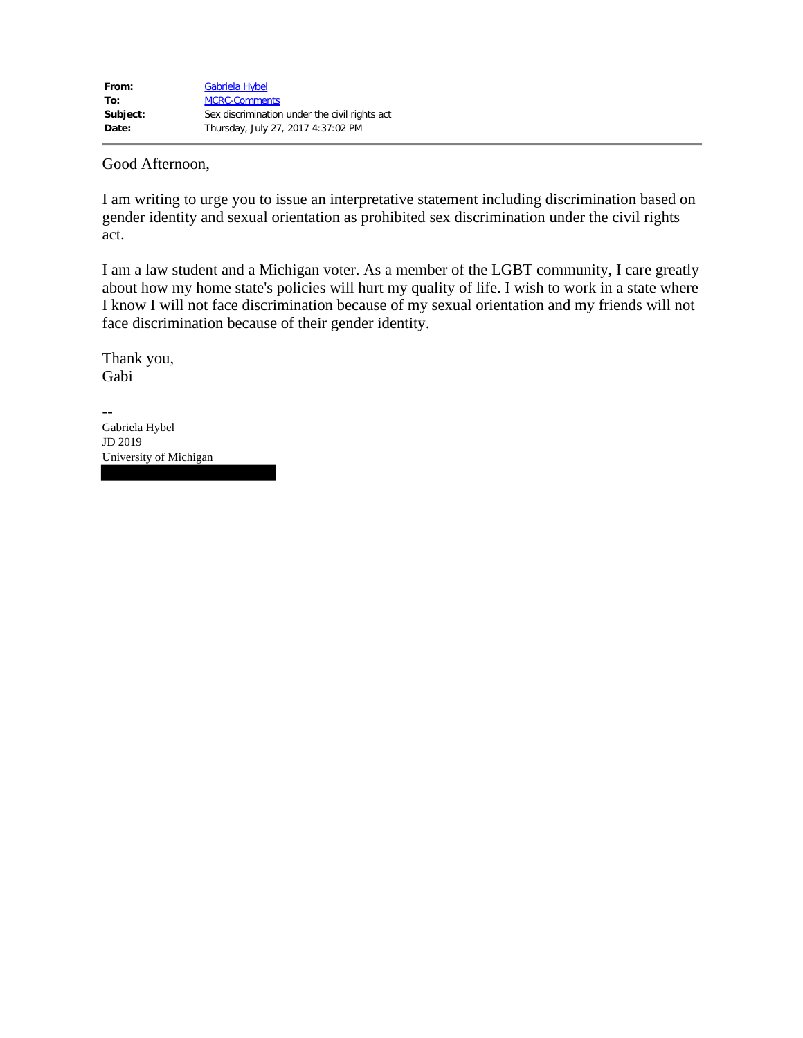## Good Afternoon,

I am writing to urge you to issue an interpretative statement including discrimination based on gender identity and sexual orientation as prohibited sex discrimination under the civil rights act.

I am a law student and a Michigan voter. As a member of the LGBT community, I care greatly about how my home state's policies will hurt my quality of life. I wish to work in a state where I know I will not face discrimination because of my sexual orientation and my friends will not face discrimination because of their gender identity.

Thank you, Gabi

-- Gabriela Hybel JD 2019 University of Michigan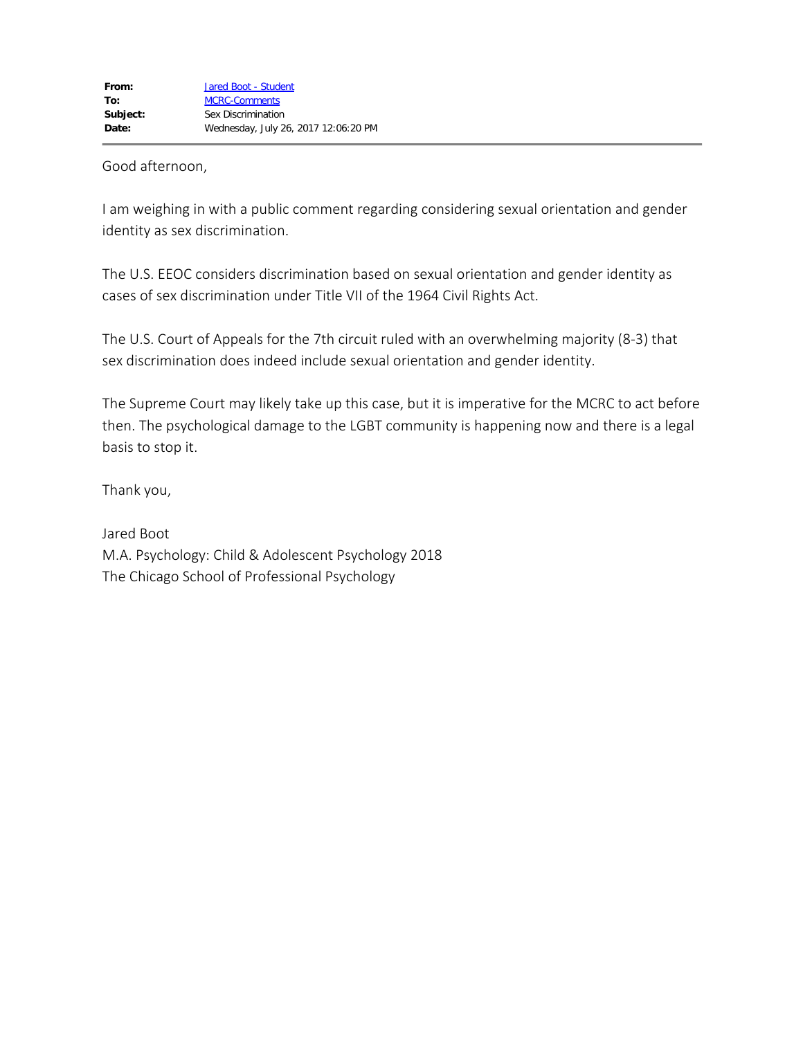Good afternoon,

I am weighing in with a public comment regarding considering sexual orientation and gender identity as sex discrimination.

The U.S. EEOC considers discrimination based on sexual orientation and gender identity as cases of sex discrimination under Title VII of the 1964 Civil Rights Act.

The U.S. Court of Appeals for the 7th circuit ruled with an overwhelming majority (8-3) that sex discrimination does indeed include sexual orientation and gender identity.

The Supreme Court may likely take up this case, but it is imperative for the MCRC to act before then. The psychological damage to the LGBT community is happening now and there is a legal basis to stop it.

Thank you,

Jared Boot M.A. Psychology: Child & Adolescent Psychology 2018 The Chicago School of Professional Psychology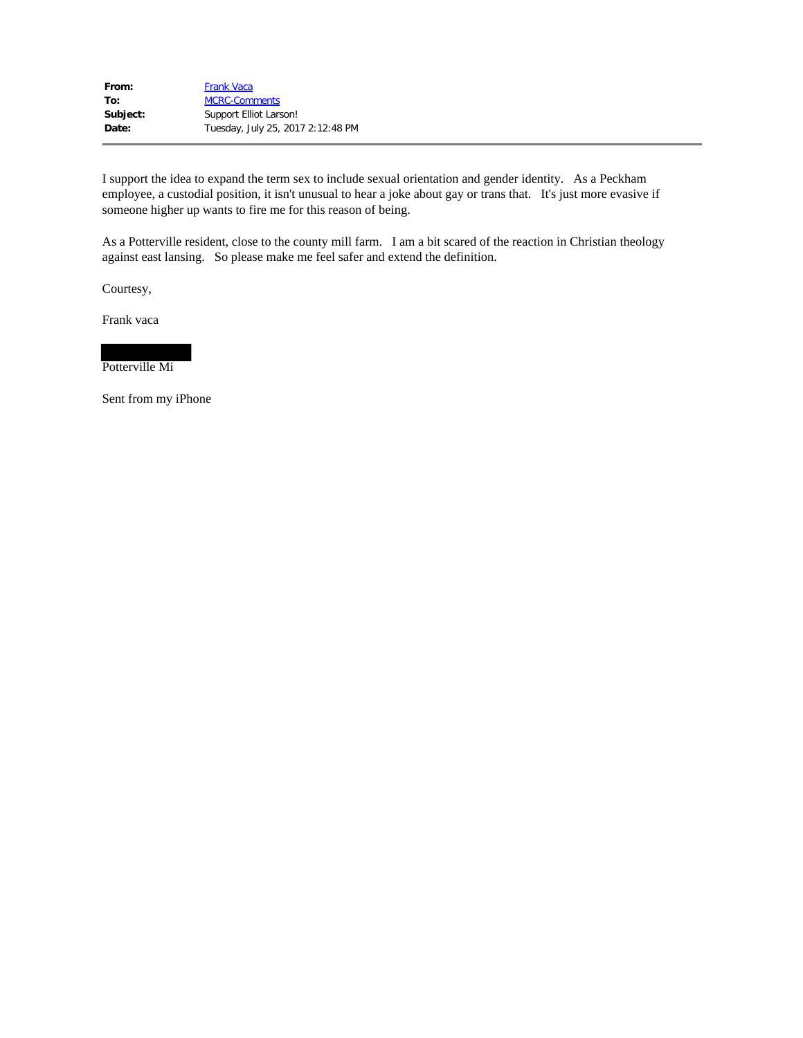| From:    | <b>Frank Vaca</b>                 |
|----------|-----------------------------------|
| To:      | <b>MCRC-Comments</b>              |
| Subject: | Support Elliot Larson!            |
| Date:    | Tuesday, July 25, 2017 2:12:48 PM |

 I support the idea to expand the term sex to include sexual orientation and gender identity. As a Peckham employee, a custodial position, it isn't unusual to hear a joke about gay or trans that. It's just more evasive if someone higher up wants to fire me for this reason of being.

 As a Potterville resident, close to the county mill farm. I am a bit scared of the reaction in Christian theology against east lansing. So please make me feel safer and extend the definition.

Courtesy,

Frank vaca



Sent from my iPhone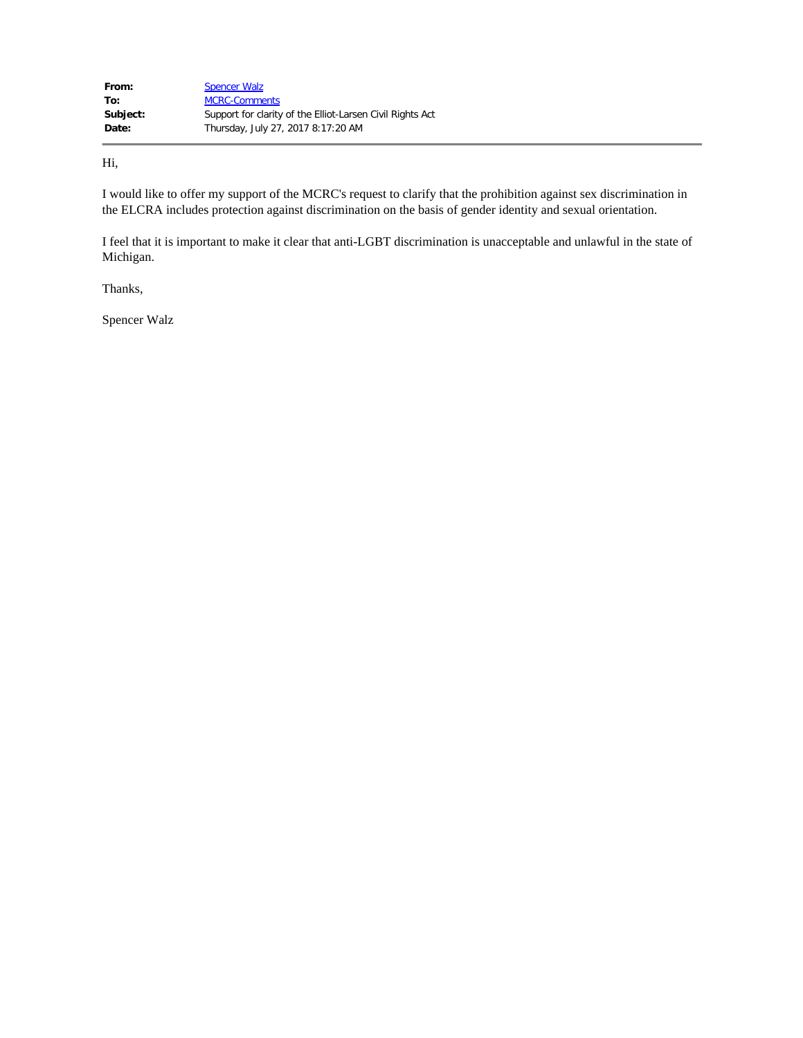| From:    | <b>Spencer Walz</b>                                       |
|----------|-----------------------------------------------------------|
| To:      | <b>MCRC-Comments</b>                                      |
| Subject: | Support for clarity of the Elliot-Larsen Civil Rights Act |
| Date:    | Thursday, July 27, 2017 8:17:20 AM                        |

Hi,

 I would like to offer my support of the MCRC's request to clarify that the prohibition against sex discrimination in the ELCRA includes protection against discrimination on the basis of gender identity and sexual orientation.

 I feel that it is important to make it clear that anti-LGBT discrimination is unacceptable and unlawful in the state of Michigan. Thanks,

Spencer Walz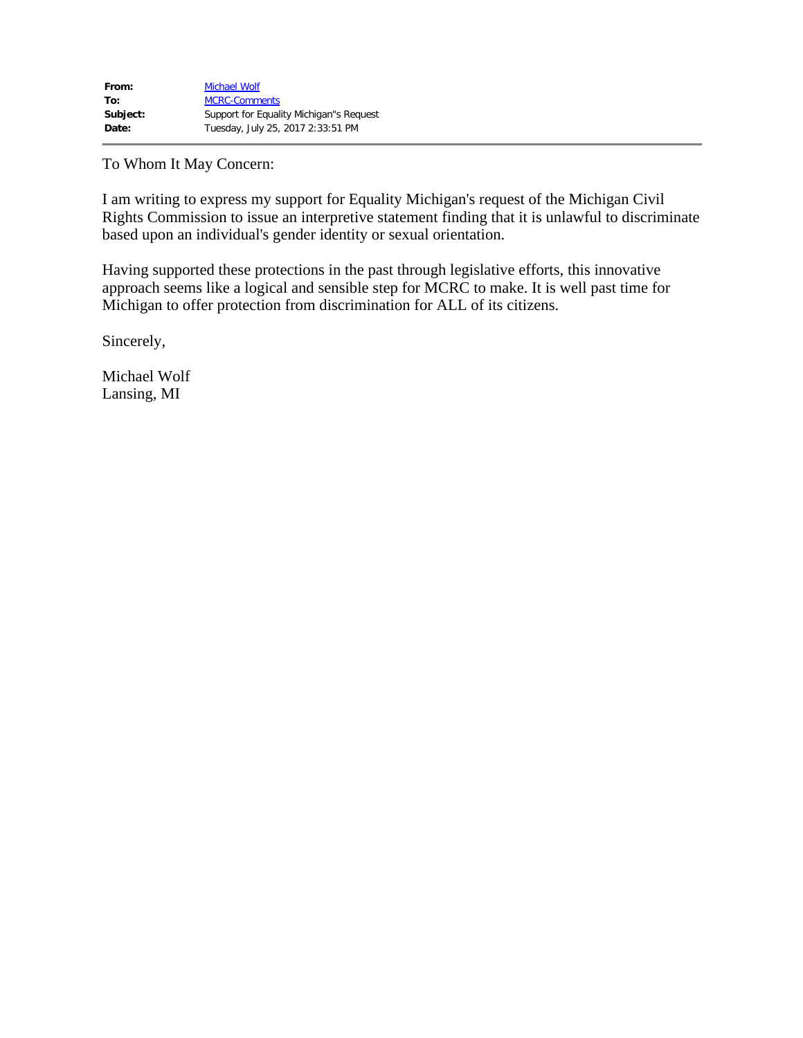To Whom It May Concern:

I am writing to express my support for Equality Michigan's request of the Michigan Civil Rights Commission to issue an interpretive statement finding that it is unlawful to discriminate based upon an individual's gender identity or sexual orientation.

Having supported these protections in the past through legislative efforts, this innovative approach seems like a logical and sensible step for MCRC to make. It is well past time for Michigan to offer protection from discrimination for ALL of its citizens.

Sincerely,

Michael Wolf Lansing, MI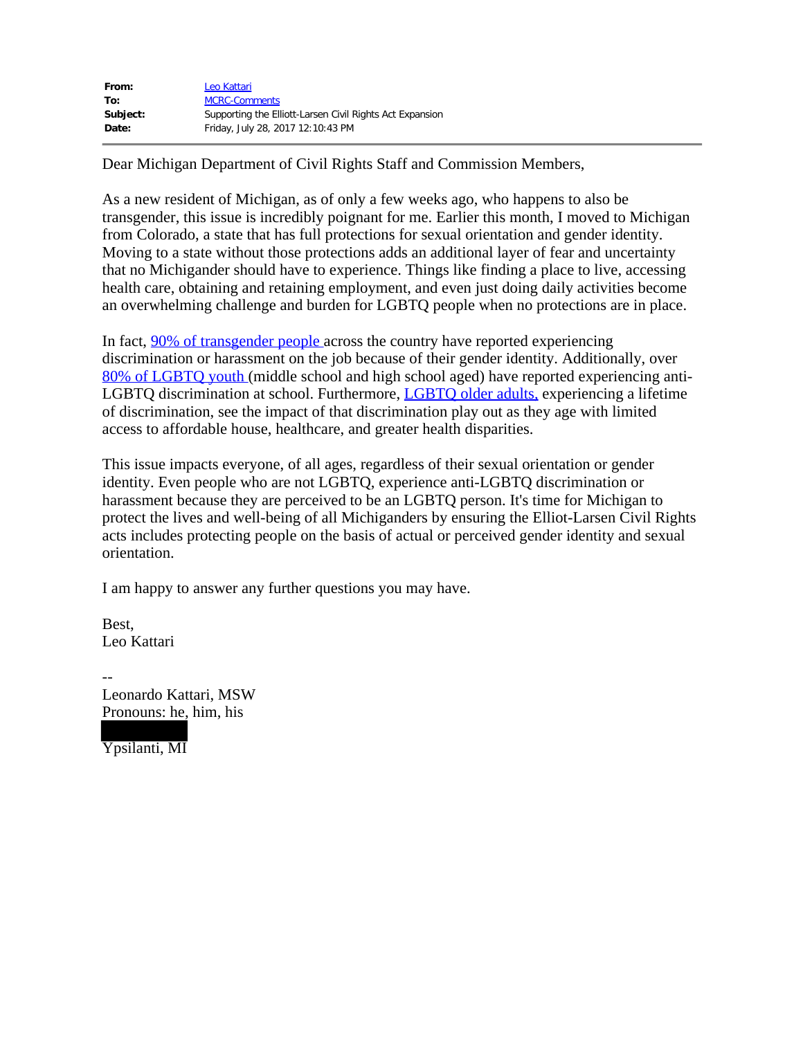| From:    | Leo Kattari                                              |
|----------|----------------------------------------------------------|
| To:      | <b>MCRC-Comments</b>                                     |
| Subject: | Supporting the Elliott-Larsen Civil Rights Act Expansion |
| Date:    | Friday, July 28, 2017 12:10:43 PM                        |

Dear Michigan Department of Civil Rights Staff and Commission Members,

As a new resident of Michigan, as of only a few weeks ago, who happens to also be transgender, this issue is incredibly poignant for me. Earlier this month, I moved to Michigan from Colorado, a state that has full protections for sexual orientation and gender identity. Moving to a state without those protections adds an additional layer of fear and uncertainty that no Michigander should have to experience. Things like finding a place to live, accessing health care, obtaining and retaining employment, and even just doing daily activities become an overwhelming challenge and burden for LGBTQ people when no protections are in place.

In fact, 90% of transgender people across the country have reported experiencing discrimination or harassment on the job because of their gender identity. Additionally, over 80% of LGBTQ youth (middle school and high school aged) have reported experiencing anti-LGBTQ discrimination at school. Furthermore, LGBTQ older adults, experiencing a lifetime of discrimination, see the impact of that discrimination play out as they age with limited access to affordable house, healthcare, and greater health disparities.

This issue impacts everyone, of all ages, regardless of their sexual orientation or gender identity. Even people who are not LGBTQ, experience anti-LGBTQ discrimination or harassment because they are perceived to be an LGBTO person. It's time for Michigan to protect the lives and well-being of all Michiganders by ensuring the Elliot-Larsen Civil Rights acts includes protecting people on the basis of actual or perceived gender identity and sexual orientation. This issue impacts everyone, of all ages, regardless of their sexual orientation or gender<br>identity. Even people who are not LGBTQ, experience anti-LGBTQ discrimination or<br>harassment because they are perceived to be an LGB

I am happy to answer any further questions you may have.

Best. Leo Kattari

-- Pronouns: he, him, his

Ypsilanti, MI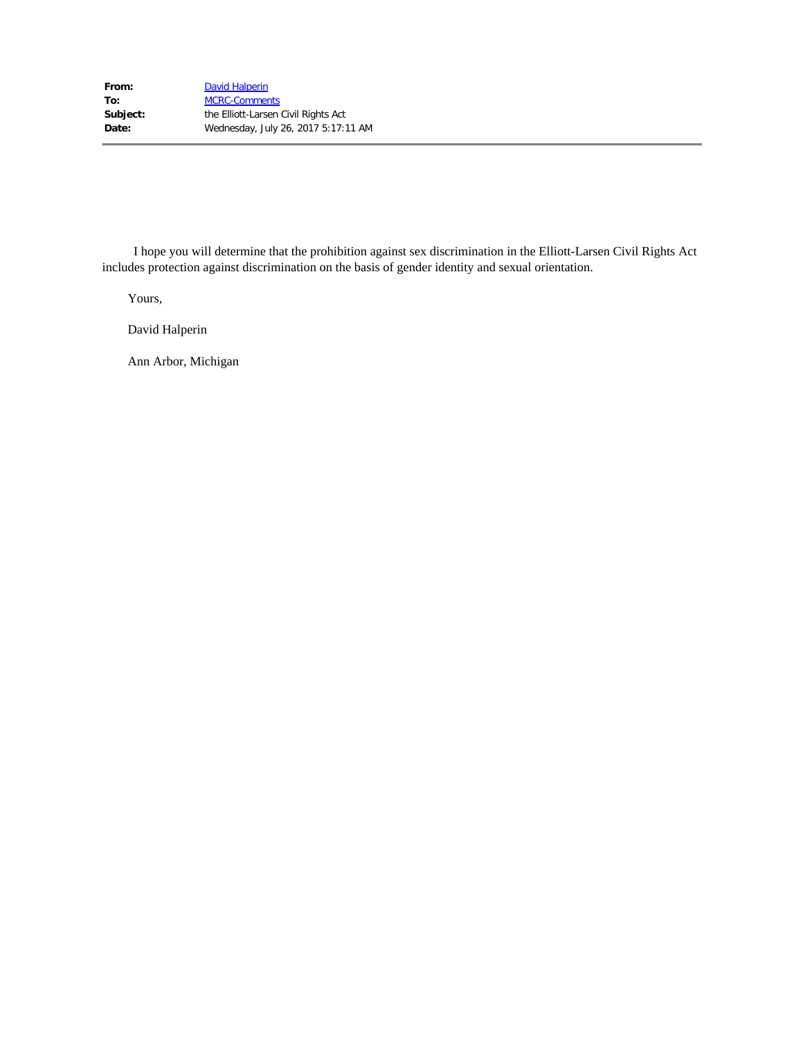includes protection against discrimination on the basis of gender identity and sexual orientation. I hope you will determine that the prohibition against sex discrimination in the Elliott-Larsen Civil Rights Act

Yours,

David Halperin

Ann Arbor, Michigan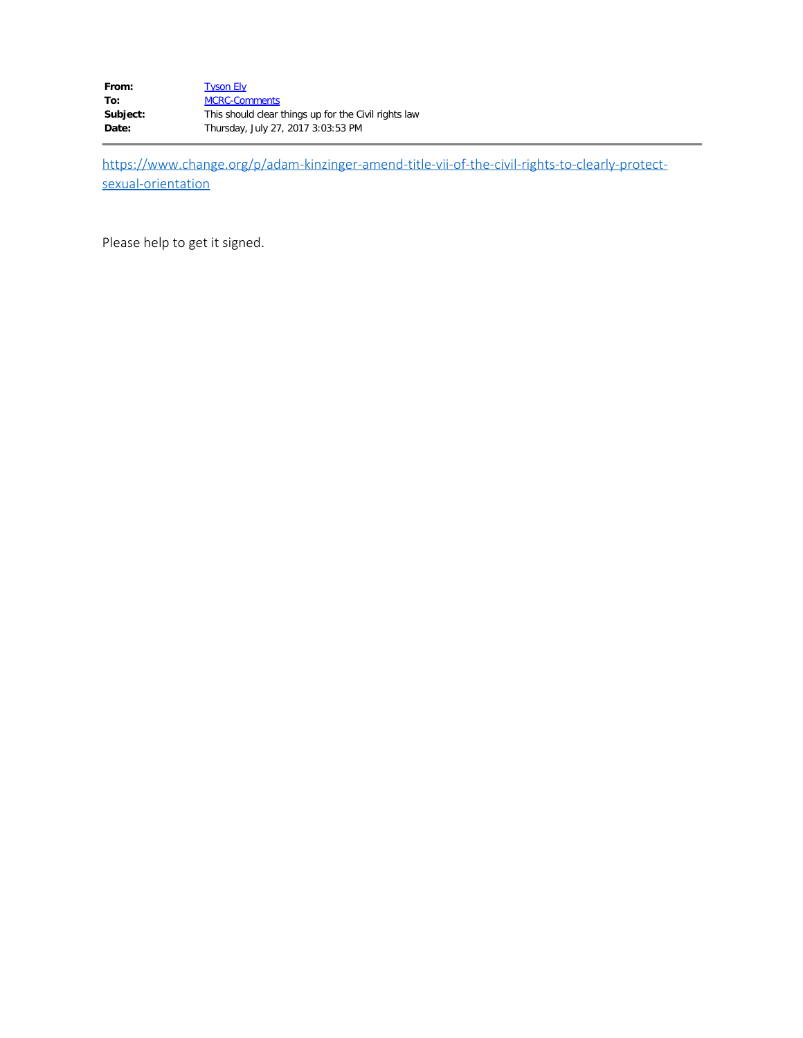| From:    | <b>Tyson Ely</b>                                     |
|----------|------------------------------------------------------|
| To:      | <b>MCRC-Comments</b>                                 |
| Subject: | This should clear things up for the Civil rights law |
| Date:    | Thursday, July 27, 2017 3:03:53 PM                   |

https://www.change.org/p/adam-kinzinger-amend-title-vii-of-the-civil-rights-to-clearly-protectsexual-orientation

Please help to get it signed.